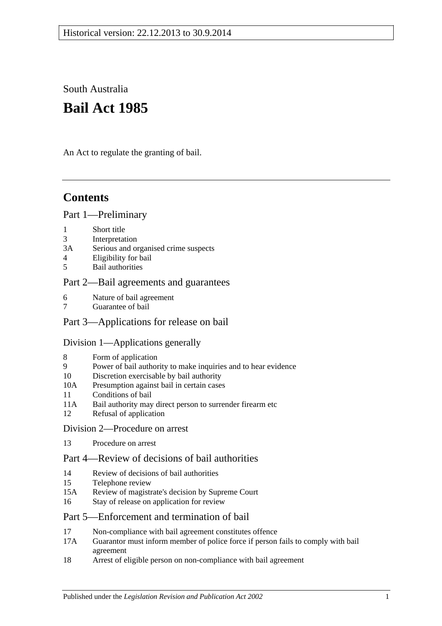South Australia

# **Bail Act 1985**

An Act to regulate the granting of bail.

# **Contents**

## [Part 1—Preliminary](#page-1-0)

- 1 [Short title](#page-1-1)
- 3 [Interpretation](#page-1-2)
- 3A [Serious and organised crime suspects](#page-2-0)
- 4 [Eligibility for bail](#page-3-0)
- 5 [Bail authorities](#page-4-0)

## [Part 2—Bail agreements and guarantees](#page-4-1)

- 6 [Nature of bail agreement](#page-4-2)
- 7 [Guarantee of bail](#page-6-0)

## [Part 3—Applications for release on bail](#page-6-1)

### [Division 1—Applications generally](#page-6-2)

- 8 [Form of application](#page-6-3)
- 9 [Power of bail authority to make inquiries and to hear evidence](#page-7-0)
- 10 [Discretion exercisable by bail authority](#page-7-1)
- 10A [Presumption against bail in certain cases](#page-8-0)
- 11 [Conditions of bail](#page-9-0)
- 11A [Bail authority may direct person to surrender firearm etc](#page-13-0)
- 12 [Refusal of application](#page-14-0)
- [Division 2—Procedure on arrest](#page-14-1)
- 13 [Procedure on arrest](#page-14-2)

## [Part 4—Review of decisions of bail authorities](#page-15-0)

- 14 [Review of decisions of bail authorities](#page-15-1)
- 15 [Telephone review](#page-15-2)
- 15A [Review of magistrate's decision by Supreme Court](#page-16-0)
- 16 [Stay of release on application for review](#page-16-1)

### [Part 5—Enforcement and termination of bail](#page-17-0)

- 17 [Non-compliance with bail agreement constitutes offence](#page-17-1)
- 17A [Guarantor must inform member of police force if person fails to comply with bail](#page-17-2)  [agreement](#page-17-2)
- 18 [Arrest of eligible person on non-compliance with bail agreement](#page-17-3)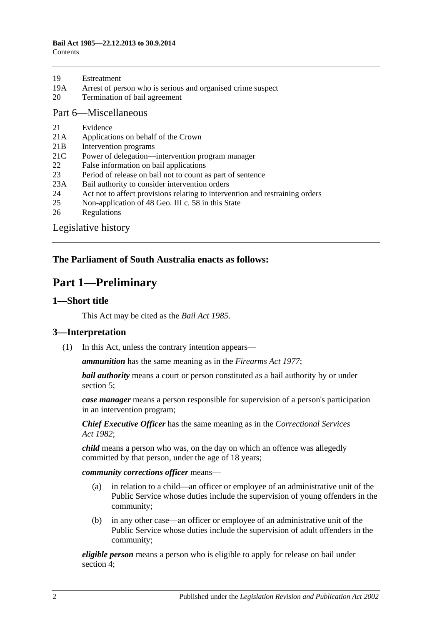| 19 | Estreatment |
|----|-------------|
|    |             |

- 19A [Arrest of person who is serious and organised crime suspect](#page-18-1)
- 20 [Termination of bail agreement](#page-18-2)

#### [Part 6—Miscellaneous](#page-19-0)

- 21 [Evidence](#page-19-1)
- 21A [Applications on behalf of the Crown](#page-19-2)
- 21B [Intervention programs](#page-19-3)
- 21C [Power of delegation—intervention program manager](#page-20-0)
- 22 [False information on bail applications](#page-20-1)
- 23 [Period of release on bail not to count as part of sentence](#page-20-2)
- 23A [Bail authority to consider intervention orders](#page-21-0)
- 24 [Act not to affect provisions relating to intervention and restraining orders](#page-21-1)
- 25 [Non-application of 48 Geo. III c. 58 in this State](#page-21-2)
- 26 [Regulations](#page-21-3)

[Legislative history](#page-22-0)

## <span id="page-1-0"></span>**The Parliament of South Australia enacts as follows:**

## **Part 1—Preliminary**

### <span id="page-1-1"></span>**1—Short title**

This Act may be cited as the *Bail Act 1985*.

### <span id="page-1-2"></span>**3—Interpretation**

(1) In this Act, unless the contrary intention appears—

*ammunition* has the same meaning as in the *[Firearms Act](http://www.legislation.sa.gov.au/index.aspx?action=legref&type=act&legtitle=Firearms%20Act%201977) 1977*;

*bail authority* means a court or person constituted as a bail authority by or under [section](#page-4-0) 5;

*case manager* means a person responsible for supervision of a person's participation in an intervention program;

*Chief Executive Officer* has the same meaning as in the *[Correctional Services](http://www.legislation.sa.gov.au/index.aspx?action=legref&type=act&legtitle=Correctional%20Services%20Act%201982)  Act [1982](http://www.legislation.sa.gov.au/index.aspx?action=legref&type=act&legtitle=Correctional%20Services%20Act%201982)*;

*child* means a person who was, on the day on which an offence was allegedly committed by that person, under the age of 18 years;

*community corrections officer* means—

- (a) in relation to a child—an officer or employee of an administrative unit of the Public Service whose duties include the supervision of young offenders in the community;
- (b) in any other case—an officer or employee of an administrative unit of the Public Service whose duties include the supervision of adult offenders in the community;

*eligible person* means a person who is eligible to apply for release on bail under [section](#page-3-0) 4;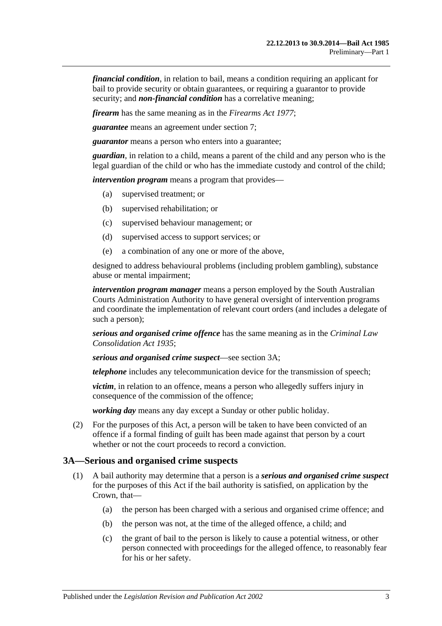*financial condition*, in relation to bail, means a condition requiring an applicant for bail to provide security or obtain guarantees, or requiring a guarantor to provide security; and *non-financial condition* has a correlative meaning;

*firearm* has the same meaning as in the *[Firearms Act](http://www.legislation.sa.gov.au/index.aspx?action=legref&type=act&legtitle=Firearms%20Act%201977) 1977*;

*guarantee* means an agreement under [section](#page-6-0) 7;

*guarantor* means a person who enters into a guarantee;

*guardian*, in relation to a child, means a parent of the child and any person who is the legal guardian of the child or who has the immediate custody and control of the child;

*intervention program* means a program that provides—

- (a) supervised treatment; or
- (b) supervised rehabilitation; or
- (c) supervised behaviour management; or
- (d) supervised access to support services; or
- (e) a combination of any one or more of the above,

designed to address behavioural problems (including problem gambling), substance abuse or mental impairment;

*intervention program manager* means a person employed by the South Australian Courts Administration Authority to have general oversight of intervention programs and coordinate the implementation of relevant court orders (and includes a delegate of such a person);

*serious and organised crime offence* has the same meaning as in the *[Criminal Law](http://www.legislation.sa.gov.au/index.aspx?action=legref&type=act&legtitle=Criminal%20Law%20Consolidation%20Act%201935)  [Consolidation Act](http://www.legislation.sa.gov.au/index.aspx?action=legref&type=act&legtitle=Criminal%20Law%20Consolidation%20Act%201935) 1935*;

*serious and organised crime suspect*—see [section](#page-2-0) 3A;

*telephone* includes any telecommunication device for the transmission of speech;

*victim*, in relation to an offence, means a person who allegedly suffers injury in consequence of the commission of the offence;

*working day* means any day except a Sunday or other public holiday.

(2) For the purposes of this Act, a person will be taken to have been convicted of an offence if a formal finding of guilt has been made against that person by a court whether or not the court proceeds to record a conviction.

### <span id="page-2-0"></span>**3A—Serious and organised crime suspects**

- <span id="page-2-3"></span><span id="page-2-2"></span><span id="page-2-1"></span>(1) A bail authority may determine that a person is a *serious and organised crime suspect* for the purposes of this Act if the bail authority is satisfied, on application by the Crown, that—
	- (a) the person has been charged with a serious and organised crime offence; and
	- (b) the person was not, at the time of the alleged offence, a child; and
	- (c) the grant of bail to the person is likely to cause a potential witness, or other person connected with proceedings for the alleged offence, to reasonably fear for his or her safety.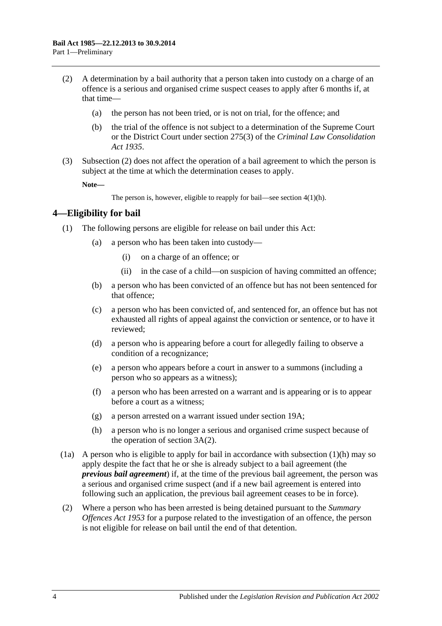- <span id="page-3-1"></span>(2) A determination by a bail authority that a person taken into custody on a charge of an offence is a serious and organised crime suspect ceases to apply after 6 months if, at that time—
	- (a) the person has not been tried, or is not on trial, for the offence; and
	- (b) the trial of the offence is not subject to a determination of the Supreme Court or the District Court under section 275(3) of the *[Criminal Law Consolidation](http://www.legislation.sa.gov.au/index.aspx?action=legref&type=act&legtitle=Criminal%20Law%20Consolidation%20Act%201935)  Act [1935](http://www.legislation.sa.gov.au/index.aspx?action=legref&type=act&legtitle=Criminal%20Law%20Consolidation%20Act%201935)*.
- (3) [Subsection](#page-3-1) (2) does not affect the operation of a bail agreement to which the person is subject at the time at which the determination ceases to apply.

**Note—**

The person is, however, eligible to reapply for bail—see section [4\(1\)\(h\).](#page-3-2)

### <span id="page-3-0"></span>**4—Eligibility for bail**

- (1) The following persons are eligible for release on bail under this Act:
	- (a) a person who has been taken into custody—
		- (i) on a charge of an offence; or
		- (ii) in the case of a child—on suspicion of having committed an offence;
	- (b) a person who has been convicted of an offence but has not been sentenced for that offence;
	- (c) a person who has been convicted of, and sentenced for, an offence but has not exhausted all rights of appeal against the conviction or sentence, or to have it reviewed;
	- (d) a person who is appearing before a court for allegedly failing to observe a condition of a recognizance;
	- (e) a person who appears before a court in answer to a summons (including a person who so appears as a witness);
	- (f) a person who has been arrested on a warrant and is appearing or is to appear before a court as a witness;
	- (g) a person arrested on a warrant issued under [section](#page-18-1) 19A;
	- (h) a person who is no longer a serious and organised crime suspect because of the operation of [section](#page-3-1) 3A(2).
- <span id="page-3-2"></span>(1a) A person who is eligible to apply for bail in accordance with [subsection](#page-3-2)  $(1)(h)$  may so apply despite the fact that he or she is already subject to a bail agreement (the *previous bail agreement*) if, at the time of the previous bail agreement, the person was a serious and organised crime suspect (and if a new bail agreement is entered into following such an application, the previous bail agreement ceases to be in force).
- (2) Where a person who has been arrested is being detained pursuant to the *[Summary](http://www.legislation.sa.gov.au/index.aspx?action=legref&type=act&legtitle=Summary%20Offences%20Act%201953)  [Offences Act](http://www.legislation.sa.gov.au/index.aspx?action=legref&type=act&legtitle=Summary%20Offences%20Act%201953) 1953* for a purpose related to the investigation of an offence, the person is not eligible for release on bail until the end of that detention.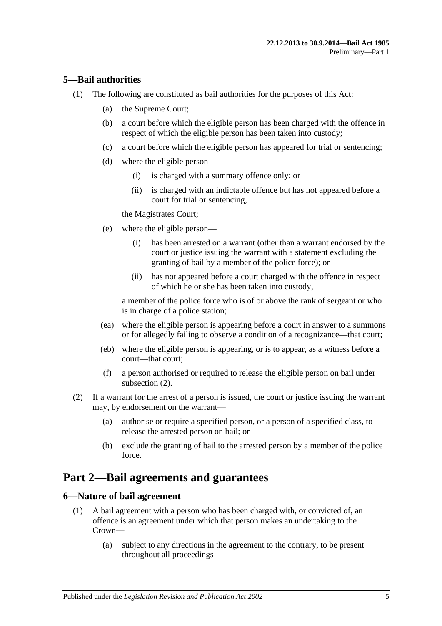## <span id="page-4-0"></span>**5—Bail authorities**

- (1) The following are constituted as bail authorities for the purposes of this Act:
	- (a) the Supreme Court;
	- (b) a court before which the eligible person has been charged with the offence in respect of which the eligible person has been taken into custody;
	- (c) a court before which the eligible person has appeared for trial or sentencing;
	- (d) where the eligible person—
		- (i) is charged with a summary offence only; or
		- (ii) is charged with an indictable offence but has not appeared before a court for trial or sentencing,

the Magistrates Court;

- (e) where the eligible person—
	- (i) has been arrested on a warrant (other than a warrant endorsed by the court or justice issuing the warrant with a statement excluding the granting of bail by a member of the police force); or
	- (ii) has not appeared before a court charged with the offence in respect of which he or she has been taken into custody,

a member of the police force who is of or above the rank of sergeant or who is in charge of a police station;

- (ea) where the eligible person is appearing before a court in answer to a summons or for allegedly failing to observe a condition of a recognizance—that court;
- (eb) where the eligible person is appearing, or is to appear, as a witness before a court—that court;
- (f) a person authorised or required to release the eligible person on bail under [subsection](#page-4-3) (2).
- <span id="page-4-3"></span>(2) If a warrant for the arrest of a person is issued, the court or justice issuing the warrant may, by endorsement on the warrant—
	- (a) authorise or require a specified person, or a person of a specified class, to release the arrested person on bail; or
	- (b) exclude the granting of bail to the arrested person by a member of the police force.

## <span id="page-4-1"></span>**Part 2—Bail agreements and guarantees**

### <span id="page-4-4"></span><span id="page-4-2"></span>**6—Nature of bail agreement**

- (1) A bail agreement with a person who has been charged with, or convicted of, an offence is an agreement under which that person makes an undertaking to the Crown—
	- (a) subject to any directions in the agreement to the contrary, to be present throughout all proceedings—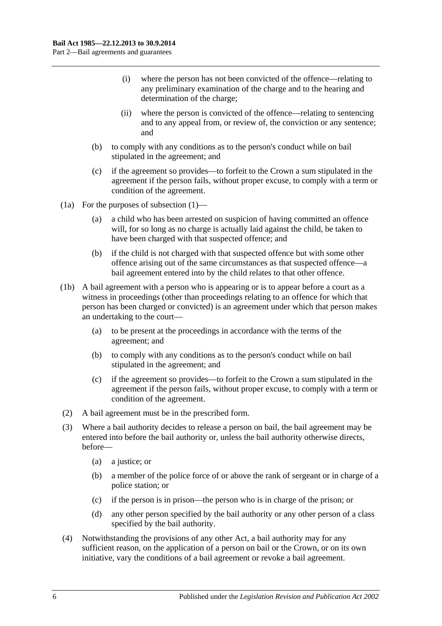- (i) where the person has not been convicted of the offence—relating to any preliminary examination of the charge and to the hearing and determination of the charge;
- (ii) where the person is convicted of the offence—relating to sentencing and to any appeal from, or review of, the conviction or any sentence; and
- (b) to comply with any conditions as to the person's conduct while on bail stipulated in the agreement; and
- (c) if the agreement so provides—to forfeit to the Crown a sum stipulated in the agreement if the person fails, without proper excuse, to comply with a term or condition of the agreement.
- (1a) For the purposes of [subsection](#page-4-4) (1)—
	- (a) a child who has been arrested on suspicion of having committed an offence will, for so long as no charge is actually laid against the child, be taken to have been charged with that suspected offence; and
	- (b) if the child is not charged with that suspected offence but with some other offence arising out of the same circumstances as that suspected offence—a bail agreement entered into by the child relates to that other offence.
- (1b) A bail agreement with a person who is appearing or is to appear before a court as a witness in proceedings (other than proceedings relating to an offence for which that person has been charged or convicted) is an agreement under which that person makes an undertaking to the court—
	- (a) to be present at the proceedings in accordance with the terms of the agreement; and
	- (b) to comply with any conditions as to the person's conduct while on bail stipulated in the agreement; and
	- (c) if the agreement so provides—to forfeit to the Crown a sum stipulated in the agreement if the person fails, without proper excuse, to comply with a term or condition of the agreement.
- (2) A bail agreement must be in the prescribed form.
- (3) Where a bail authority decides to release a person on bail, the bail agreement may be entered into before the bail authority or, unless the bail authority otherwise directs, before—
	- (a) a justice; or
	- (b) a member of the police force of or above the rank of sergeant or in charge of a police station; or
	- (c) if the person is in prison—the person who is in charge of the prison; or
	- (d) any other person specified by the bail authority or any other person of a class specified by the bail authority.
- (4) Notwithstanding the provisions of any other Act, a bail authority may for any sufficient reason, on the application of a person on bail or the Crown, or on its own initiative, vary the conditions of a bail agreement or revoke a bail agreement.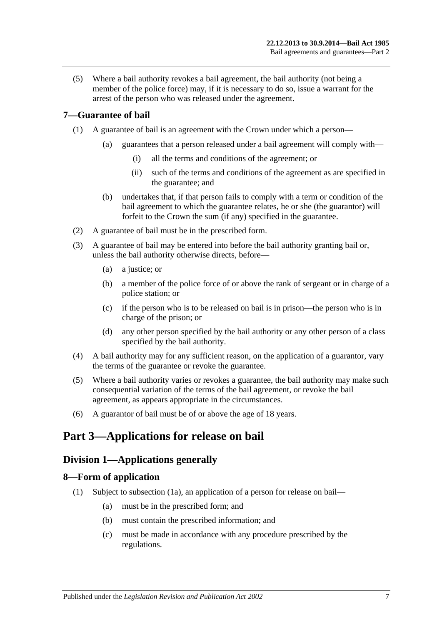(5) Where a bail authority revokes a bail agreement, the bail authority (not being a member of the police force) may, if it is necessary to do so, issue a warrant for the arrest of the person who was released under the agreement.

## <span id="page-6-0"></span>**7—Guarantee of bail**

- (1) A guarantee of bail is an agreement with the Crown under which a person—
	- (a) guarantees that a person released under a bail agreement will comply with—
		- (i) all the terms and conditions of the agreement; or
		- (ii) such of the terms and conditions of the agreement as are specified in the guarantee; and
	- (b) undertakes that, if that person fails to comply with a term or condition of the bail agreement to which the guarantee relates, he or she (the guarantor) will forfeit to the Crown the sum (if any) specified in the guarantee.
- (2) A guarantee of bail must be in the prescribed form.
- (3) A guarantee of bail may be entered into before the bail authority granting bail or, unless the bail authority otherwise directs, before—
	- (a) a justice; or
	- (b) a member of the police force of or above the rank of sergeant or in charge of a police station; or
	- (c) if the person who is to be released on bail is in prison—the person who is in charge of the prison; or
	- (d) any other person specified by the bail authority or any other person of a class specified by the bail authority.
- (4) A bail authority may for any sufficient reason, on the application of a guarantor, vary the terms of the guarantee or revoke the guarantee.
- (5) Where a bail authority varies or revokes a guarantee, the bail authority may make such consequential variation of the terms of the bail agreement, or revoke the bail agreement, as appears appropriate in the circumstances.
- (6) A guarantor of bail must be of or above the age of 18 years.

## <span id="page-6-2"></span><span id="page-6-1"></span>**Part 3—Applications for release on bail**

## **Division 1—Applications generally**

### <span id="page-6-4"></span><span id="page-6-3"></span>**8—Form of application**

- (1) Subject to [subsection](#page-7-2) (1a), an application of a person for release on bail—
	- (a) must be in the prescribed form; and
	- (b) must contain the prescribed information; and
	- (c) must be made in accordance with any procedure prescribed by the regulations.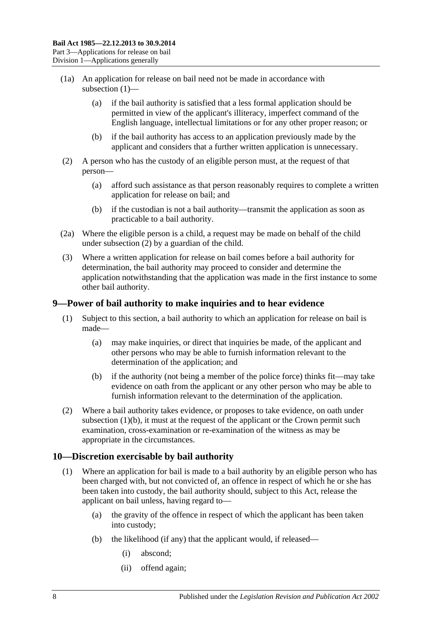- <span id="page-7-2"></span>(1a) An application for release on bail need not be made in accordance with [subsection](#page-6-4) (1)—
	- (a) if the bail authority is satisfied that a less formal application should be permitted in view of the applicant's illiteracy, imperfect command of the English language, intellectual limitations or for any other proper reason; or
	- (b) if the bail authority has access to an application previously made by the applicant and considers that a further written application is unnecessary.
- <span id="page-7-3"></span>(2) A person who has the custody of an eligible person must, at the request of that person—
	- (a) afford such assistance as that person reasonably requires to complete a written application for release on bail; and
	- (b) if the custodian is not a bail authority—transmit the application as soon as practicable to a bail authority.
- (2a) Where the eligible person is a child, a request may be made on behalf of the child under [subsection](#page-7-3) (2) by a guardian of the child.
- (3) Where a written application for release on bail comes before a bail authority for determination, the bail authority may proceed to consider and determine the application notwithstanding that the application was made in the first instance to some other bail authority.

### <span id="page-7-0"></span>**9—Power of bail authority to make inquiries and to hear evidence**

- (1) Subject to this section, a bail authority to which an application for release on bail is made—
	- (a) may make inquiries, or direct that inquiries be made, of the applicant and other persons who may be able to furnish information relevant to the determination of the application; and
	- (b) if the authority (not being a member of the police force) thinks fit—may take evidence on oath from the applicant or any other person who may be able to furnish information relevant to the determination of the application.
- <span id="page-7-4"></span>(2) Where a bail authority takes evidence, or proposes to take evidence, on oath under [subsection](#page-7-4)  $(1)(b)$ , it must at the request of the applicant or the Crown permit such examination, cross-examination or re-examination of the witness as may be appropriate in the circumstances.

## <span id="page-7-1"></span>**10—Discretion exercisable by bail authority**

- (1) Where an application for bail is made to a bail authority by an eligible person who has been charged with, but not convicted of, an offence in respect of which he or she has been taken into custody, the bail authority should, subject to this Act, release the applicant on bail unless, having regard to—
	- (a) the gravity of the offence in respect of which the applicant has been taken into custody;
	- (b) the likelihood (if any) that the applicant would, if released—
		- (i) abscond;
		- (ii) offend again;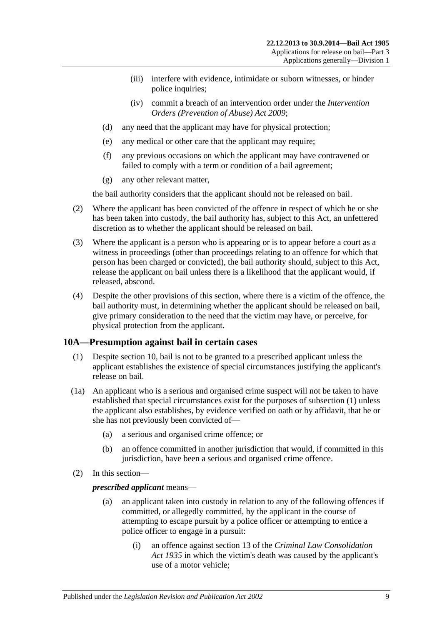- (iii) interfere with evidence, intimidate or suborn witnesses, or hinder police inquiries;
- (iv) commit a breach of an intervention order under the *[Intervention](http://www.legislation.sa.gov.au/index.aspx?action=legref&type=act&legtitle=Intervention%20Orders%20(Prevention%20of%20Abuse)%20Act%202009)  [Orders \(Prevention of Abuse\) Act](http://www.legislation.sa.gov.au/index.aspx?action=legref&type=act&legtitle=Intervention%20Orders%20(Prevention%20of%20Abuse)%20Act%202009) 2009*;
- (d) any need that the applicant may have for physical protection;
- (e) any medical or other care that the applicant may require;
- (f) any previous occasions on which the applicant may have contravened or failed to comply with a term or condition of a bail agreement;
- (g) any other relevant matter,

the bail authority considers that the applicant should not be released on bail.

- (2) Where the applicant has been convicted of the offence in respect of which he or she has been taken into custody, the bail authority has, subject to this Act, an unfettered discretion as to whether the applicant should be released on bail.
- (3) Where the applicant is a person who is appearing or is to appear before a court as a witness in proceedings (other than proceedings relating to an offence for which that person has been charged or convicted), the bail authority should, subject to this Act, release the applicant on bail unless there is a likelihood that the applicant would, if released, abscond.
- (4) Despite the other provisions of this section, where there is a victim of the offence, the bail authority must, in determining whether the applicant should be released on bail, give primary consideration to the need that the victim may have, or perceive, for physical protection from the applicant.

### <span id="page-8-1"></span><span id="page-8-0"></span>**10A—Presumption against bail in certain cases**

- (1) Despite [section](#page-7-1) 10, bail is not to be granted to a prescribed applicant unless the applicant establishes the existence of special circumstances justifying the applicant's release on bail.
- (1a) An applicant who is a serious and organised crime suspect will not be taken to have established that special circumstances exist for the purposes of [subsection](#page-8-1) (1) unless the applicant also establishes, by evidence verified on oath or by affidavit, that he or she has not previously been convicted of—
	- (a) a serious and organised crime offence; or
	- (b) an offence committed in another jurisdiction that would, if committed in this jurisdiction, have been a serious and organised crime offence.
- (2) In this section—

### *prescribed applicant* means—

- (a) an applicant taken into custody in relation to any of the following offences if committed, or allegedly committed, by the applicant in the course of attempting to escape pursuit by a police officer or attempting to entice a police officer to engage in a pursuit:
	- (i) an offence against section 13 of the *[Criminal Law Consolidation](http://www.legislation.sa.gov.au/index.aspx?action=legref&type=act&legtitle=Criminal%20Law%20Consolidation%20Act%201935)  Act [1935](http://www.legislation.sa.gov.au/index.aspx?action=legref&type=act&legtitle=Criminal%20Law%20Consolidation%20Act%201935)* in which the victim's death was caused by the applicant's use of a motor vehicle;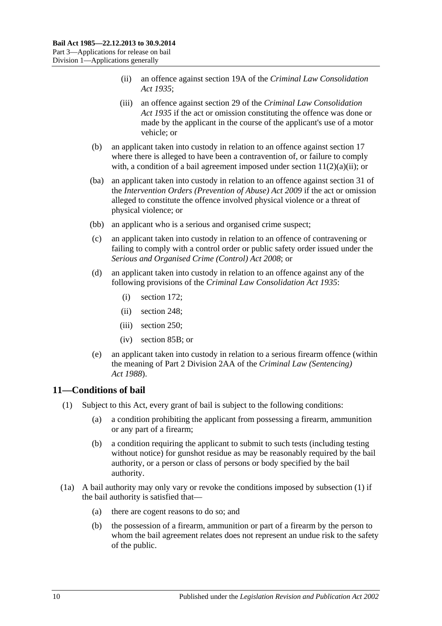- (ii) an offence against section 19A of the *[Criminal Law Consolidation](http://www.legislation.sa.gov.au/index.aspx?action=legref&type=act&legtitle=Criminal%20Law%20Consolidation%20Act%201935)  Act [1935](http://www.legislation.sa.gov.au/index.aspx?action=legref&type=act&legtitle=Criminal%20Law%20Consolidation%20Act%201935)*;
- (iii) an offence against section 29 of the *[Criminal Law Consolidation](http://www.legislation.sa.gov.au/index.aspx?action=legref&type=act&legtitle=Criminal%20Law%20Consolidation%20Act%201935)  Act [1935](http://www.legislation.sa.gov.au/index.aspx?action=legref&type=act&legtitle=Criminal%20Law%20Consolidation%20Act%201935)* if the act or omission constituting the offence was done or made by the applicant in the course of the applicant's use of a motor vehicle; or
- (b) an applicant taken into custody in relation to an offence against [section](#page-17-1) 17 where there is alleged to have been a contravention of, or failure to comply with, a condition of a bail agreement imposed under section  $11(2)(a)(ii)$ ; or
- (ba) an applicant taken into custody in relation to an offence against section 31 of the *[Intervention Orders \(Prevention of Abuse\) Act](http://www.legislation.sa.gov.au/index.aspx?action=legref&type=act&legtitle=Intervention%20Orders%20(Prevention%20of%20Abuse)%20Act%202009) 2009* if the act or omission alleged to constitute the offence involved physical violence or a threat of physical violence; or
- (bb) an applicant who is a serious and organised crime suspect;
- (c) an applicant taken into custody in relation to an offence of contravening or failing to comply with a control order or public safety order issued under the *[Serious and Organised Crime \(Control\) Act](http://www.legislation.sa.gov.au/index.aspx?action=legref&type=act&legtitle=Serious%20and%20Organised%20Crime%20(Control)%20Act%202008) 2008*; or
- (d) an applicant taken into custody in relation to an offence against any of the following provisions of the *[Criminal Law Consolidation Act](http://www.legislation.sa.gov.au/index.aspx?action=legref&type=act&legtitle=Criminal%20Law%20Consolidation%20Act%201935) 1935*:
	- (i) section 172;
	- (ii) section 248;
	- (iii) section 250;
	- (iv) section 85B; or
- (e) an applicant taken into custody in relation to a serious firearm offence (within the meaning of Part 2 Division 2AA of the *[Criminal Law \(Sentencing\)](http://www.legislation.sa.gov.au/index.aspx?action=legref&type=act&legtitle=Criminal%20Law%20(Sentencing)%20Act%201988)  Act [1988](http://www.legislation.sa.gov.au/index.aspx?action=legref&type=act&legtitle=Criminal%20Law%20(Sentencing)%20Act%201988)*).

## <span id="page-9-1"></span><span id="page-9-0"></span>**11—Conditions of bail**

- <span id="page-9-3"></span>(1) Subject to this Act, every grant of bail is subject to the following conditions:
	- (a) a condition prohibiting the applicant from possessing a firearm, ammunition or any part of a firearm;
	- (b) a condition requiring the applicant to submit to such tests (including testing without notice) for gunshot residue as may be reasonably required by the bail authority, or a person or class of persons or body specified by the bail authority.
- <span id="page-9-2"></span>(1a) A bail authority may only vary or revoke the conditions imposed by [subsection](#page-9-1) (1) if the bail authority is satisfied that—
	- (a) there are cogent reasons to do so; and
	- (b) the possession of a firearm, ammunition or part of a firearm by the person to whom the bail agreement relates does not represent an undue risk to the safety of the public.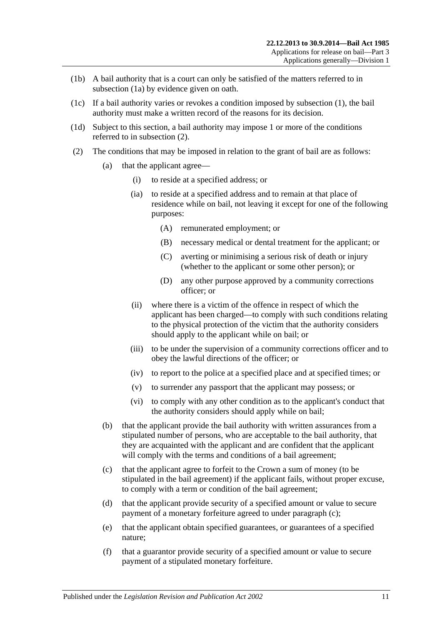- (1b) A bail authority that is a court can only be satisfied of the matters referred to in [subsection](#page-9-2) (1a) by evidence given on oath.
- (1c) If a bail authority varies or revokes a condition imposed by [subsection](#page-9-1) (1), the bail authority must make a written record of the reasons for its decision.
- (1d) Subject to this section, a bail authority may impose 1 or more of the conditions referred to in [subsection](#page-10-1) (2).
- <span id="page-10-4"></span><span id="page-10-3"></span><span id="page-10-2"></span><span id="page-10-1"></span><span id="page-10-0"></span>(2) The conditions that may be imposed in relation to the grant of bail are as follows:
	- (a) that the applicant agree—
		- (i) to reside at a specified address; or
		- (ia) to reside at a specified address and to remain at that place of residence while on bail, not leaving it except for one of the following purposes:
			- (A) remunerated employment; or
			- (B) necessary medical or dental treatment for the applicant; or
			- (C) averting or minimising a serious risk of death or injury (whether to the applicant or some other person); or
			- (D) any other purpose approved by a community corrections officer; or
		- (ii) where there is a victim of the offence in respect of which the applicant has been charged—to comply with such conditions relating to the physical protection of the victim that the authority considers should apply to the applicant while on bail; or
		- (iii) to be under the supervision of a community corrections officer and to obey the lawful directions of the officer; or
		- (iv) to report to the police at a specified place and at specified times; or
		- (v) to surrender any passport that the applicant may possess; or
		- (vi) to comply with any other condition as to the applicant's conduct that the authority considers should apply while on bail;
	- (b) that the applicant provide the bail authority with written assurances from a stipulated number of persons, who are acceptable to the bail authority, that they are acquainted with the applicant and are confident that the applicant will comply with the terms and conditions of a bail agreement;
	- (c) that the applicant agree to forfeit to the Crown a sum of money (to be stipulated in the bail agreement) if the applicant fails, without proper excuse, to comply with a term or condition of the bail agreement;
	- (d) that the applicant provide security of a specified amount or value to secure payment of a monetary forfeiture agreed to under [paragraph](#page-10-2) (c);
	- (e) that the applicant obtain specified guarantees, or guarantees of a specified nature;
	- (f) that a guarantor provide security of a specified amount or value to secure payment of a stipulated monetary forfeiture.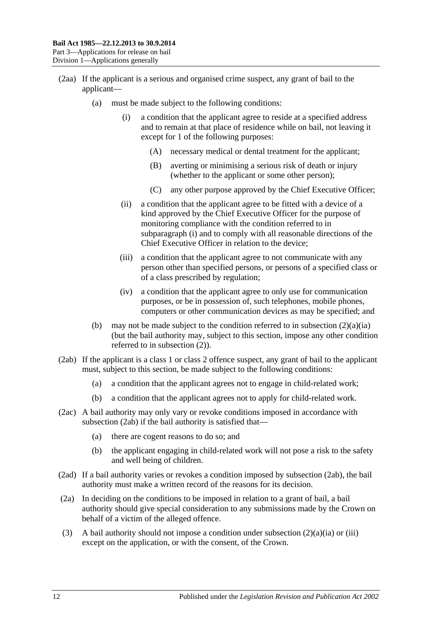- <span id="page-11-0"></span>(2aa) If the applicant is a serious and organised crime suspect, any grant of bail to the applicant—
	- (a) must be made subject to the following conditions:
		- (i) a condition that the applicant agree to reside at a specified address and to remain at that place of residence while on bail, not leaving it except for 1 of the following purposes:
			- (A) necessary medical or dental treatment for the applicant;
			- (B) averting or minimising a serious risk of death or injury (whether to the applicant or some other person);
			- (C) any other purpose approved by the Chief Executive Officer;
		- (ii) a condition that the applicant agree to be fitted with a device of a kind approved by the Chief Executive Officer for the purpose of monitoring compliance with the condition referred to in [subparagraph](#page-11-0) (i) and to comply with all reasonable directions of the Chief Executive Officer in relation to the device;
		- (iii) a condition that the applicant agree to not communicate with any person other than specified persons, or persons of a specified class or of a class prescribed by regulation;
		- (iv) a condition that the applicant agree to only use for communication purposes, or be in possession of, such telephones, mobile phones, computers or other communication devices as may be specified; and
	- (b) may not be made subject to the condition referred to in [subsection](#page-10-3)  $(2)(a)(ia)$ (but the bail authority may, subject to this section, impose any other condition referred to in [subsection](#page-10-1) (2)).
- <span id="page-11-1"></span>(2ab) If the applicant is a class 1 or class 2 offence suspect, any grant of bail to the applicant must, subject to this section, be made subject to the following conditions:
	- (a) a condition that the applicant agrees not to engage in child-related work;
	- (b) a condition that the applicant agrees not to apply for child-related work.
- (2ac) A bail authority may only vary or revoke conditions imposed in accordance with [subsection](#page-11-1) (2ab) if the bail authority is satisfied that—
	- (a) there are cogent reasons to do so; and
	- (b) the applicant engaging in child-related work will not pose a risk to the safety and well being of children.
- (2ad) If a bail authority varies or revokes a condition imposed by [subsection](#page-11-1) (2ab), the bail authority must make a written record of the reasons for its decision.
- (2a) In deciding on the conditions to be imposed in relation to a grant of bail, a bail authority should give special consideration to any submissions made by the Crown on behalf of a victim of the alleged offence.
- (3) A bail authority should not impose a condition under [subsection](#page-10-3)  $(2)(a)(ia)$  or [\(iii\)](#page-10-4) except on the application, or with the consent, of the Crown.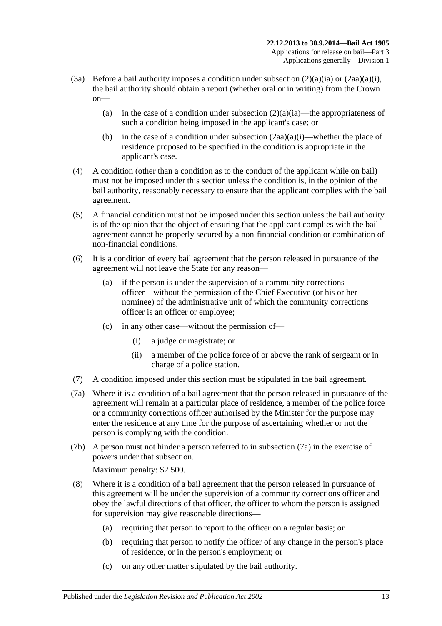- (3a) Before a bail authority imposes a condition under [subsection](#page-10-3)  $(2)(a)(ia)$  or  $(2aa)(a)(i)$ , the bail authority should obtain a report (whether oral or in writing) from the Crown on
	- (a) in the case of a condition under [subsection](#page-10-3)  $(2)(a)(ia)$ —the appropriateness of such a condition being imposed in the applicant's case; or
	- (b) in the case of a condition under [subsection](#page-11-0)  $(2aa)(a)(i)$ —whether the place of residence proposed to be specified in the condition is appropriate in the applicant's case.
- (4) A condition (other than a condition as to the conduct of the applicant while on bail) must not be imposed under this section unless the condition is, in the opinion of the bail authority, reasonably necessary to ensure that the applicant complies with the bail agreement.
- (5) A financial condition must not be imposed under this section unless the bail authority is of the opinion that the object of ensuring that the applicant complies with the bail agreement cannot be properly secured by a non-financial condition or combination of non-financial conditions.
- (6) It is a condition of every bail agreement that the person released in pursuance of the agreement will not leave the State for any reason—
	- (a) if the person is under the supervision of a community corrections officer—without the permission of the Chief Executive (or his or her nominee) of the administrative unit of which the community corrections officer is an officer or employee;
	- (c) in any other case—without the permission of—
		- (i) a judge or magistrate; or
		- (ii) a member of the police force of or above the rank of sergeant or in charge of a police station.
- (7) A condition imposed under this section must be stipulated in the bail agreement.
- <span id="page-12-0"></span>(7a) Where it is a condition of a bail agreement that the person released in pursuance of the agreement will remain at a particular place of residence, a member of the police force or a community corrections officer authorised by the Minister for the purpose may enter the residence at any time for the purpose of ascertaining whether or not the person is complying with the condition.
- (7b) A person must not hinder a person referred to in [subsection](#page-12-0) (7a) in the exercise of powers under that subsection.

Maximum penalty: \$2 500.

- (8) Where it is a condition of a bail agreement that the person released in pursuance of this agreement will be under the supervision of a community corrections officer and obey the lawful directions of that officer, the officer to whom the person is assigned for supervision may give reasonable directions—
	- (a) requiring that person to report to the officer on a regular basis; or
	- (b) requiring that person to notify the officer of any change in the person's place of residence, or in the person's employment; or
	- (c) on any other matter stipulated by the bail authority.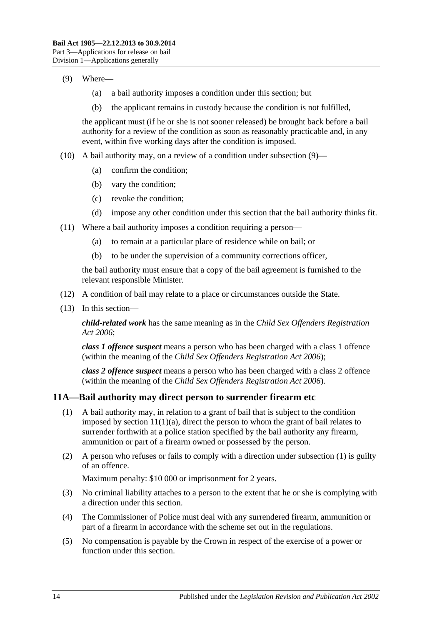### <span id="page-13-1"></span>(9) Where—

- (a) a bail authority imposes a condition under this section; but
- (b) the applicant remains in custody because the condition is not fulfilled,

the applicant must (if he or she is not sooner released) be brought back before a bail authority for a review of the condition as soon as reasonably practicable and, in any event, within five working days after the condition is imposed.

- (10) A bail authority may, on a review of a condition under [subsection](#page-13-1) (9)—
	- (a) confirm the condition;
	- (b) vary the condition;
	- (c) revoke the condition;
	- (d) impose any other condition under this section that the bail authority thinks fit.
- (11) Where a bail authority imposes a condition requiring a person—
	- (a) to remain at a particular place of residence while on bail; or
	- (b) to be under the supervision of a community corrections officer,

the bail authority must ensure that a copy of the bail agreement is furnished to the relevant responsible Minister.

- (12) A condition of bail may relate to a place or circumstances outside the State.
- (13) In this section—

*child-related work* has the same meaning as in the *[Child Sex Offenders Registration](http://www.legislation.sa.gov.au/index.aspx?action=legref&type=act&legtitle=Child%20Sex%20Offenders%20Registration%20Act%202006)  Act [2006](http://www.legislation.sa.gov.au/index.aspx?action=legref&type=act&legtitle=Child%20Sex%20Offenders%20Registration%20Act%202006)*;

*class 1 offence suspect* means a person who has been charged with a class 1 offence (within the meaning of the *[Child Sex Offenders Registration Act](http://www.legislation.sa.gov.au/index.aspx?action=legref&type=act&legtitle=Child%20Sex%20Offenders%20Registration%20Act%202006) 2006*);

*class 2 offence suspect* means a person who has been charged with a class 2 offence (within the meaning of the *[Child Sex Offenders Registration Act](http://www.legislation.sa.gov.au/index.aspx?action=legref&type=act&legtitle=Child%20Sex%20Offenders%20Registration%20Act%202006) 2006*).

### <span id="page-13-2"></span><span id="page-13-0"></span>**11A—Bail authority may direct person to surrender firearm etc**

- (1) A bail authority may, in relation to a grant of bail that is subject to the condition imposed by section  $11(1)(a)$ , direct the person to whom the grant of bail relates to surrender forthwith at a police station specified by the bail authority any firearm, ammunition or part of a firearm owned or possessed by the person.
- (2) A person who refuses or fails to comply with a direction under [subsection](#page-13-2) (1) is guilty of an offence.

Maximum penalty: \$10 000 or imprisonment for 2 years.

- (3) No criminal liability attaches to a person to the extent that he or she is complying with a direction under this section.
- (4) The Commissioner of Police must deal with any surrendered firearm, ammunition or part of a firearm in accordance with the scheme set out in the regulations.
- (5) No compensation is payable by the Crown in respect of the exercise of a power or function under this section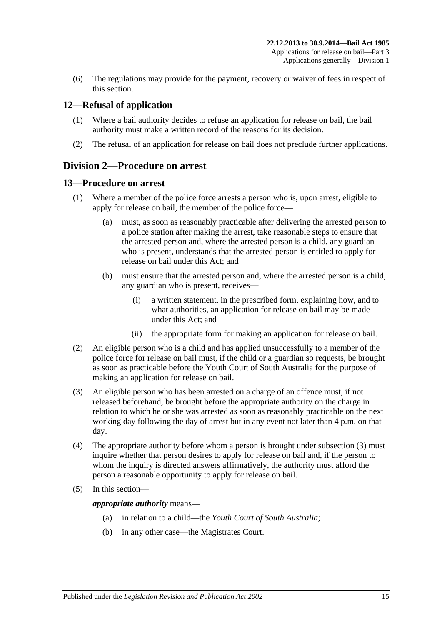(6) The regulations may provide for the payment, recovery or waiver of fees in respect of this section.

## <span id="page-14-0"></span>**12—Refusal of application**

- (1) Where a bail authority decides to refuse an application for release on bail, the bail authority must make a written record of the reasons for its decision.
- (2) The refusal of an application for release on bail does not preclude further applications.

## <span id="page-14-1"></span>**Division 2—Procedure on arrest**

### <span id="page-14-2"></span>**13—Procedure on arrest**

- (1) Where a member of the police force arrests a person who is, upon arrest, eligible to apply for release on bail, the member of the police force—
	- (a) must, as soon as reasonably practicable after delivering the arrested person to a police station after making the arrest, take reasonable steps to ensure that the arrested person and, where the arrested person is a child, any guardian who is present, understands that the arrested person is entitled to apply for release on bail under this Act; and
	- (b) must ensure that the arrested person and, where the arrested person is a child, any guardian who is present, receives—
		- (i) a written statement, in the prescribed form, explaining how, and to what authorities, an application for release on bail may be made under this Act; and
		- (ii) the appropriate form for making an application for release on bail.
- (2) An eligible person who is a child and has applied unsuccessfully to a member of the police force for release on bail must, if the child or a guardian so requests, be brought as soon as practicable before the Youth Court of South Australia for the purpose of making an application for release on bail.
- <span id="page-14-3"></span>(3) An eligible person who has been arrested on a charge of an offence must, if not released beforehand, be brought before the appropriate authority on the charge in relation to which he or she was arrested as soon as reasonably practicable on the next working day following the day of arrest but in any event not later than 4 p.m. on that day.
- (4) The appropriate authority before whom a person is brought under [subsection](#page-14-3) (3) must inquire whether that person desires to apply for release on bail and, if the person to whom the inquiry is directed answers affirmatively, the authority must afford the person a reasonable opportunity to apply for release on bail.
- (5) In this section—

*appropriate authority* means—

- (a) in relation to a child—the *Youth Court of South Australia*;
- (b) in any other case—the Magistrates Court.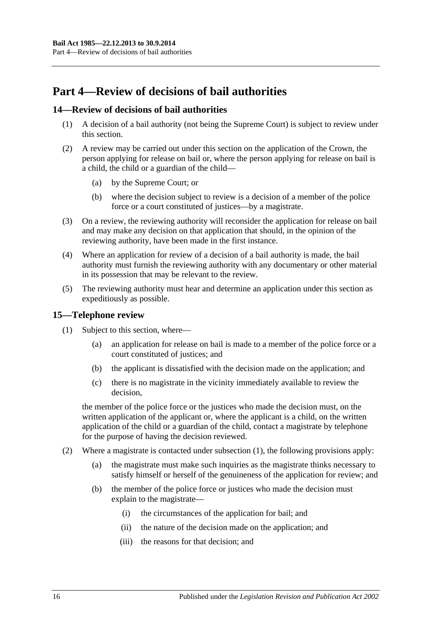# <span id="page-15-0"></span>**Part 4—Review of decisions of bail authorities**

## <span id="page-15-1"></span>**14—Review of decisions of bail authorities**

- (1) A decision of a bail authority (not being the Supreme Court) is subject to review under this section.
- (2) A review may be carried out under this section on the application of the Crown, the person applying for release on bail or, where the person applying for release on bail is a child, the child or a guardian of the child—
	- (a) by the Supreme Court; or
	- (b) where the decision subject to review is a decision of a member of the police force or a court constituted of justices—by a magistrate.
- (3) On a review, the reviewing authority will reconsider the application for release on bail and may make any decision on that application that should, in the opinion of the reviewing authority, have been made in the first instance.
- (4) Where an application for review of a decision of a bail authority is made, the bail authority must furnish the reviewing authority with any documentary or other material in its possession that may be relevant to the review.
- (5) The reviewing authority must hear and determine an application under this section as expeditiously as possible.

## <span id="page-15-3"></span><span id="page-15-2"></span>**15—Telephone review**

- (1) Subject to this section, where—
	- (a) an application for release on bail is made to a member of the police force or a court constituted of justices; and
	- (b) the applicant is dissatisfied with the decision made on the application; and
	- (c) there is no magistrate in the vicinity immediately available to review the decision,

the member of the police force or the justices who made the decision must, on the written application of the applicant or, where the applicant is a child, on the written application of the child or a guardian of the child, contact a magistrate by telephone for the purpose of having the decision reviewed.

- (2) Where a magistrate is contacted under [subsection](#page-15-3) (1), the following provisions apply:
	- (a) the magistrate must make such inquiries as the magistrate thinks necessary to satisfy himself or herself of the genuineness of the application for review; and
	- (b) the member of the police force or justices who made the decision must explain to the magistrate—
		- (i) the circumstances of the application for bail; and
		- (ii) the nature of the decision made on the application; and
		- (iii) the reasons for that decision; and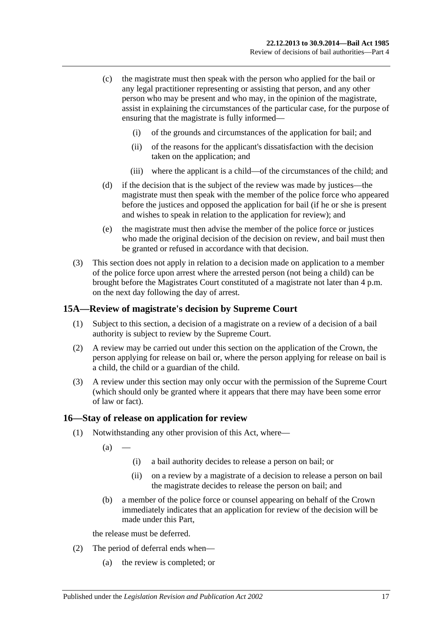- (c) the magistrate must then speak with the person who applied for the bail or any legal practitioner representing or assisting that person, and any other person who may be present and who may, in the opinion of the magistrate, assist in explaining the circumstances of the particular case, for the purpose of ensuring that the magistrate is fully informed—
	- (i) of the grounds and circumstances of the application for bail; and
	- (ii) of the reasons for the applicant's dissatisfaction with the decision taken on the application; and
	- (iii) where the applicant is a child—of the circumstances of the child; and
- (d) if the decision that is the subject of the review was made by justices—the magistrate must then speak with the member of the police force who appeared before the justices and opposed the application for bail (if he or she is present and wishes to speak in relation to the application for review); and
- (e) the magistrate must then advise the member of the police force or justices who made the original decision of the decision on review, and bail must then be granted or refused in accordance with that decision.
- (3) This section does not apply in relation to a decision made on application to a member of the police force upon arrest where the arrested person (not being a child) can be brought before the Magistrates Court constituted of a magistrate not later than 4 p.m. on the next day following the day of arrest.

### <span id="page-16-0"></span>**15A—Review of magistrate's decision by Supreme Court**

- (1) Subject to this section, a decision of a magistrate on a review of a decision of a bail authority is subject to review by the Supreme Court.
- (2) A review may be carried out under this section on the application of the Crown, the person applying for release on bail or, where the person applying for release on bail is a child, the child or a guardian of the child.
- (3) A review under this section may only occur with the permission of the Supreme Court (which should only be granted where it appears that there may have been some error of law or fact).

### <span id="page-16-1"></span>**16—Stay of release on application for review**

- (1) Notwithstanding any other provision of this Act, where—
	- $(a)$
- (i) a bail authority decides to release a person on bail; or
- (ii) on a review by a magistrate of a decision to release a person on bail the magistrate decides to release the person on bail; and
- (b) a member of the police force or counsel appearing on behalf of the Crown immediately indicates that an application for review of the decision will be made under this Part,

the release must be deferred.

- (2) The period of deferral ends when—
	- (a) the review is completed; or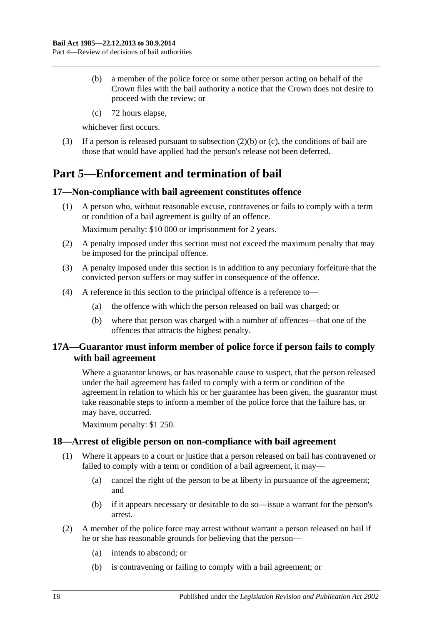- <span id="page-17-4"></span>(b) a member of the police force or some other person acting on behalf of the Crown files with the bail authority a notice that the Crown does not desire to proceed with the review; or
- (c) 72 hours elapse,

<span id="page-17-5"></span>whichever first occurs.

(3) If a person is released pursuant to [subsection](#page-17-4) (2)(b) or [\(c\),](#page-17-5) the conditions of bail are those that would have applied had the person's release not been deferred.

# <span id="page-17-0"></span>**Part 5—Enforcement and termination of bail**

## <span id="page-17-1"></span>**17—Non-compliance with bail agreement constitutes offence**

- (1) A person who, without reasonable excuse, contravenes or fails to comply with a term or condition of a bail agreement is guilty of an offence. Maximum penalty: \$10 000 or imprisonment for 2 years.
- (2) A penalty imposed under this section must not exceed the maximum penalty that may be imposed for the principal offence.
- (3) A penalty imposed under this section is in addition to any pecuniary forfeiture that the convicted person suffers or may suffer in consequence of the offence.
- (4) A reference in this section to the principal offence is a reference to—
	- (a) the offence with which the person released on bail was charged; or
	- (b) where that person was charged with a number of offences—that one of the offences that attracts the highest penalty.

## <span id="page-17-2"></span>**17A—Guarantor must inform member of police force if person fails to comply with bail agreement**

Where a guarantor knows, or has reasonable cause to suspect, that the person released under the bail agreement has failed to comply with a term or condition of the agreement in relation to which his or her guarantee has been given, the guarantor must take reasonable steps to inform a member of the police force that the failure has, or may have, occurred.

Maximum penalty: \$1 250.

## <span id="page-17-3"></span>**18—Arrest of eligible person on non-compliance with bail agreement**

- (1) Where it appears to a court or justice that a person released on bail has contravened or failed to comply with a term or condition of a bail agreement, it may-
	- (a) cancel the right of the person to be at liberty in pursuance of the agreement; and
	- (b) if it appears necessary or desirable to do so—issue a warrant for the person's arrest.
- <span id="page-17-6"></span>(2) A member of the police force may arrest without warrant a person released on bail if he or she has reasonable grounds for believing that the person—
	- (a) intends to abscond; or
	- (b) is contravening or failing to comply with a bail agreement; or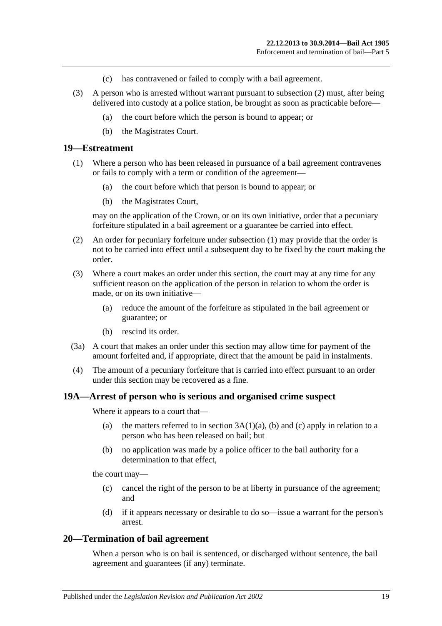- (c) has contravened or failed to comply with a bail agreement.
- (3) A person who is arrested without warrant pursuant to [subsection](#page-17-6) (2) must, after being delivered into custody at a police station, be brought as soon as practicable before—
	- (a) the court before which the person is bound to appear; or
	- (b) the Magistrates Court.

### <span id="page-18-3"></span><span id="page-18-0"></span>**19—Estreatment**

- (1) Where a person who has been released in pursuance of a bail agreement contravenes or fails to comply with a term or condition of the agreement—
	- (a) the court before which that person is bound to appear; or
	- (b) the Magistrates Court,

may on the application of the Crown, or on its own initiative, order that a pecuniary forfeiture stipulated in a bail agreement or a guarantee be carried into effect.

- (2) An order for pecuniary forfeiture under [subsection](#page-18-3) (1) may provide that the order is not to be carried into effect until a subsequent day to be fixed by the court making the order.
- (3) Where a court makes an order under this section, the court may at any time for any sufficient reason on the application of the person in relation to whom the order is made, or on its own initiative—
	- (a) reduce the amount of the forfeiture as stipulated in the bail agreement or guarantee; or
	- (b) rescind its order.
- (3a) A court that makes an order under this section may allow time for payment of the amount forfeited and, if appropriate, direct that the amount be paid in instalments.
- (4) The amount of a pecuniary forfeiture that is carried into effect pursuant to an order under this section may be recovered as a fine.

### <span id="page-18-1"></span>**19A—Arrest of person who is serious and organised crime suspect**

Where it appears to a court that—

- (a) the matters referred to in section  $3A(1)(a)$ , [\(b\)](#page-2-2) and [\(c\)](#page-2-3) apply in relation to a person who has been released on bail; but
- (b) no application was made by a police officer to the bail authority for a determination to that effect,

the court may—

- (c) cancel the right of the person to be at liberty in pursuance of the agreement; and
- (d) if it appears necessary or desirable to do so—issue a warrant for the person's arrest.

## <span id="page-18-2"></span>**20—Termination of bail agreement**

When a person who is on bail is sentenced, or discharged without sentence, the bail agreement and guarantees (if any) terminate.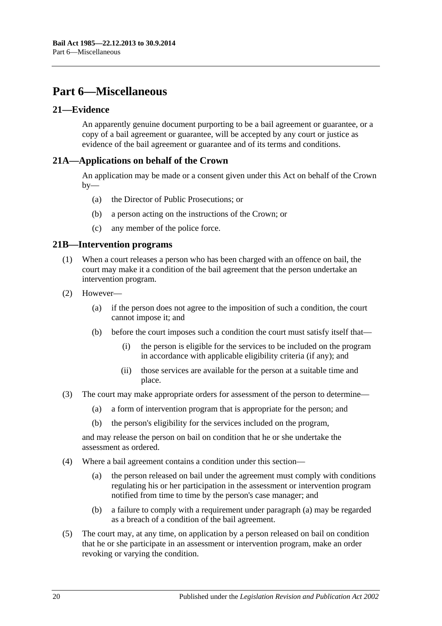# <span id="page-19-0"></span>**Part 6—Miscellaneous**

## <span id="page-19-1"></span>**21—Evidence**

An apparently genuine document purporting to be a bail agreement or guarantee, or a copy of a bail agreement or guarantee, will be accepted by any court or justice as evidence of the bail agreement or guarantee and of its terms and conditions.

## <span id="page-19-2"></span>**21A—Applications on behalf of the Crown**

An application may be made or a consent given under this Act on behalf of the Crown  $bv$ —

- (a) the Director of Public Prosecutions; or
- (b) a person acting on the instructions of the Crown; or
- (c) any member of the police force.

### <span id="page-19-3"></span>**21B—Intervention programs**

- (1) When a court releases a person who has been charged with an offence on bail, the court may make it a condition of the bail agreement that the person undertake an intervention program.
- (2) However—
	- (a) if the person does not agree to the imposition of such a condition, the court cannot impose it; and
	- (b) before the court imposes such a condition the court must satisfy itself that—
		- (i) the person is eligible for the services to be included on the program in accordance with applicable eligibility criteria (if any); and
		- (ii) those services are available for the person at a suitable time and place.
- (3) The court may make appropriate orders for assessment of the person to determine—
	- (a) a form of intervention program that is appropriate for the person; and
	- (b) the person's eligibility for the services included on the program,

and may release the person on bail on condition that he or she undertake the assessment as ordered.

- <span id="page-19-4"></span>(4) Where a bail agreement contains a condition under this section—
	- (a) the person released on bail under the agreement must comply with conditions regulating his or her participation in the assessment or intervention program notified from time to time by the person's case manager; and
	- (b) a failure to comply with a requirement under [paragraph](#page-19-4) (a) may be regarded as a breach of a condition of the bail agreement.
- (5) The court may, at any time, on application by a person released on bail on condition that he or she participate in an assessment or intervention program, make an order revoking or varying the condition.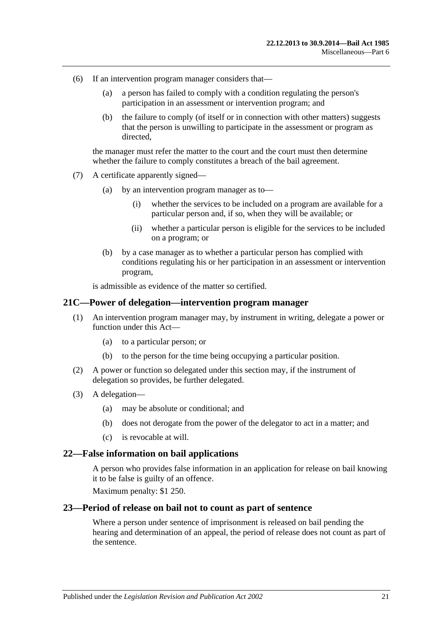- (6) If an intervention program manager considers that—
	- (a) a person has failed to comply with a condition regulating the person's participation in an assessment or intervention program; and
	- (b) the failure to comply (of itself or in connection with other matters) suggests that the person is unwilling to participate in the assessment or program as directed,

the manager must refer the matter to the court and the court must then determine whether the failure to comply constitutes a breach of the bail agreement.

- (7) A certificate apparently signed—
	- (a) by an intervention program manager as to—
		- (i) whether the services to be included on a program are available for a particular person and, if so, when they will be available; or
		- (ii) whether a particular person is eligible for the services to be included on a program; or
	- (b) by a case manager as to whether a particular person has complied with conditions regulating his or her participation in an assessment or intervention program,

is admissible as evidence of the matter so certified.

### <span id="page-20-0"></span>**21C—Power of delegation—intervention program manager**

- (1) An intervention program manager may, by instrument in writing, delegate a power or function under this Act—
	- (a) to a particular person; or
	- (b) to the person for the time being occupying a particular position.
- (2) A power or function so delegated under this section may, if the instrument of delegation so provides, be further delegated.
- (3) A delegation—
	- (a) may be absolute or conditional; and
	- (b) does not derogate from the power of the delegator to act in a matter; and
	- (c) is revocable at will.

### <span id="page-20-1"></span>**22—False information on bail applications**

A person who provides false information in an application for release on bail knowing it to be false is guilty of an offence.

Maximum penalty: \$1 250.

#### <span id="page-20-2"></span>**23—Period of release on bail not to count as part of sentence**

Where a person under sentence of imprisonment is released on bail pending the hearing and determination of an appeal, the period of release does not count as part of the sentence.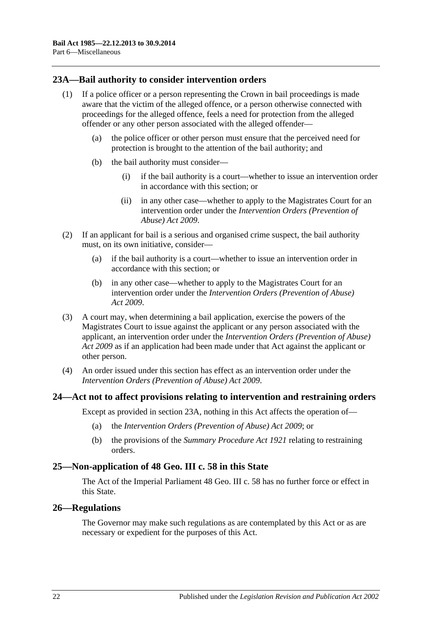## <span id="page-21-0"></span>**23A—Bail authority to consider intervention orders**

- (1) If a police officer or a person representing the Crown in bail proceedings is made aware that the victim of the alleged offence, or a person otherwise connected with proceedings for the alleged offence, feels a need for protection from the alleged offender or any other person associated with the alleged offender—
	- (a) the police officer or other person must ensure that the perceived need for protection is brought to the attention of the bail authority; and
	- (b) the bail authority must consider—
		- (i) if the bail authority is a court—whether to issue an intervention order in accordance with this section; or
		- (ii) in any other case—whether to apply to the Magistrates Court for an intervention order under the *[Intervention Orders \(Prevention of](http://www.legislation.sa.gov.au/index.aspx?action=legref&type=act&legtitle=Intervention%20Orders%20(Prevention%20of%20Abuse)%20Act%202009)  [Abuse\) Act](http://www.legislation.sa.gov.au/index.aspx?action=legref&type=act&legtitle=Intervention%20Orders%20(Prevention%20of%20Abuse)%20Act%202009) 2009*.
- (2) If an applicant for bail is a serious and organised crime suspect, the bail authority must, on its own initiative, consider—
	- (a) if the bail authority is a court—whether to issue an intervention order in accordance with this section; or
	- (b) in any other case—whether to apply to the Magistrates Court for an intervention order under the *[Intervention Orders \(Prevention of Abuse\)](http://www.legislation.sa.gov.au/index.aspx?action=legref&type=act&legtitle=Intervention%20Orders%20(Prevention%20of%20Abuse)%20Act%202009)  Act [2009](http://www.legislation.sa.gov.au/index.aspx?action=legref&type=act&legtitle=Intervention%20Orders%20(Prevention%20of%20Abuse)%20Act%202009)*.
- (3) A court may, when determining a bail application, exercise the powers of the Magistrates Court to issue against the applicant or any person associated with the applicant, an intervention order under the *[Intervention Orders \(Prevention of Abuse\)](http://www.legislation.sa.gov.au/index.aspx?action=legref&type=act&legtitle=Intervention%20Orders%20(Prevention%20of%20Abuse)%20Act%202009)  Act [2009](http://www.legislation.sa.gov.au/index.aspx?action=legref&type=act&legtitle=Intervention%20Orders%20(Prevention%20of%20Abuse)%20Act%202009)* as if an application had been made under that Act against the applicant or other person.
- (4) An order issued under this section has effect as an intervention order under the *[Intervention Orders \(Prevention of Abuse\) Act](http://www.legislation.sa.gov.au/index.aspx?action=legref&type=act&legtitle=Intervention%20Orders%20(Prevention%20of%20Abuse)%20Act%202009) 2009*.

### <span id="page-21-1"></span>**24—Act not to affect provisions relating to intervention and restraining orders**

Except as provided in [section](#page-21-0) 23A, nothing in this Act affects the operation of—

- (a) the *[Intervention Orders \(Prevention of Abuse\) Act](http://www.legislation.sa.gov.au/index.aspx?action=legref&type=act&legtitle=Intervention%20Orders%20(Prevention%20of%20Abuse)%20Act%202009) 2009*; or
- (b) the provisions of the *[Summary Procedure Act](http://www.legislation.sa.gov.au/index.aspx?action=legref&type=act&legtitle=Summary%20Procedure%20Act%201921) 1921* relating to restraining orders.

### <span id="page-21-2"></span>**25—Non-application of 48 Geo. III c. 58 in this State**

The Act of the Imperial Parliament 48 Geo. III c. 58 has no further force or effect in this State.

### <span id="page-21-3"></span>**26—Regulations**

The Governor may make such regulations as are contemplated by this Act or as are necessary or expedient for the purposes of this Act.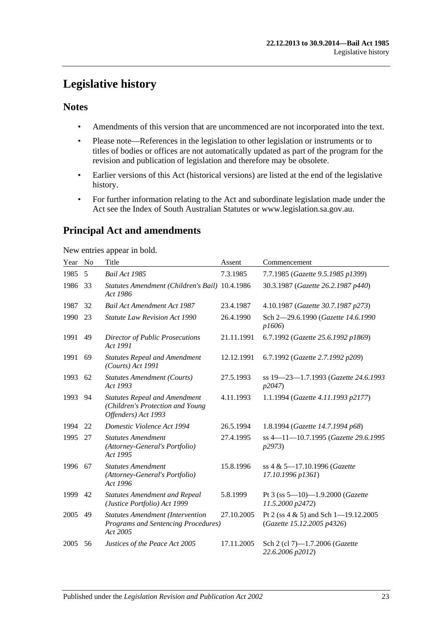# <span id="page-22-0"></span>**Legislative history**

## **Notes**

- Amendments of this version that are uncommenced are not incorporated into the text.
- Please note—References in the legislation to other legislation or instruments or to titles of bodies or offices are not automatically updated as part of the program for the revision and publication of legislation and therefore may be obsolete.
- Earlier versions of this Act (historical versions) are listed at the end of the legislative history.
- For further information relating to the Act and subordinate legislation made under the Act see the Index of South Australian Statutes or www.legislation.sa.gov.au.

# **Principal Act and amendments**

New entries appear in bold.

| Year | No | Title                                                                                           | Assent     | Commencement                                                           |
|------|----|-------------------------------------------------------------------------------------------------|------------|------------------------------------------------------------------------|
| 1985 | 5  | <b>Bail Act 1985</b>                                                                            | 7.3.1985   | 7.7.1985 (Gazette 9.5.1985 p1399)                                      |
| 1986 | 33 | Statutes Amendment (Children's Bail) 10.4.1986<br>Act 1986                                      |            | 30.3.1987 (Gazette 26.2.1987 p440)                                     |
| 1987 | 32 | <b>Bail Act Amendment Act 1987</b>                                                              | 23.4.1987  | 4.10.1987 (Gazette 30.7.1987 p273)                                     |
| 1990 | 23 | <b>Statute Law Revision Act 1990</b>                                                            | 26.4.1990  | Sch 2-29.6.1990 (Gazette 14.6.1990<br>p1606                            |
| 1991 | 49 | <b>Director of Public Prosecutions</b><br>Act 1991                                              | 21.11.1991 | 6.7.1992 (Gazette 25.6.1992 p1869)                                     |
| 1991 | 69 | <b>Statutes Repeal and Amendment</b><br>(Courts) Act 1991                                       | 12.12.1991 | 6.7.1992 (Gazette 2.7.1992 p209)                                       |
| 1993 | 62 | <b>Statutes Amendment (Courts)</b><br>Act 1993                                                  | 27.5.1993  | ss 19-23-1.7.1993 (Gazette 24.6.1993<br>p2047                          |
| 1993 | 94 | <b>Statutes Repeal and Amendment</b><br>(Children's Protection and Young<br>Offenders) Act 1993 | 4.11.1993  | 1.1.1994 (Gazette 4.11.1993 p2177)                                     |
| 1994 | 22 | Domestic Violence Act 1994                                                                      | 26.5.1994  | 1.8.1994 (Gazette 14.7.1994 p68)                                       |
| 1995 | 27 | <b>Statutes Amendment</b><br>(Attorney-General's Portfolio)<br>Act 1995                         | 27.4.1995  | ss 4-11-10.7.1995 (Gazette 29.6.1995<br>p2973                          |
| 1996 | 67 | <b>Statutes Amendment</b><br>(Attorney-General's Portfolio)<br>Act 1996                         | 15.8.1996  | ss 4 & 5-17.10.1996 (Gazette<br>17.10.1996 p1361)                      |
| 1999 | 42 | <b>Statutes Amendment and Repeal</b><br>(Justice Portfolio) Act 1999                            | 5.8.1999   | Pt 3 (ss $5-10$ )-1.9.2000 (Gazette<br>11.5.2000 p2472)                |
| 2005 | 49 | <b>Statutes Amendment (Intervention</b><br>Programs and Sentencing Procedures)<br>Act 2005      | 27.10.2005 | Pt 2 (ss $4 \& 5$ ) and Sch 1-19.12.2005<br>(Gazette 15.12.2005 p4326) |
| 2005 | 56 | Justices of the Peace Act 2005                                                                  | 17.11.2005 | Sch 2 (cl 7)-1.7.2006 (Gazette<br>22.6.2006 p2012)                     |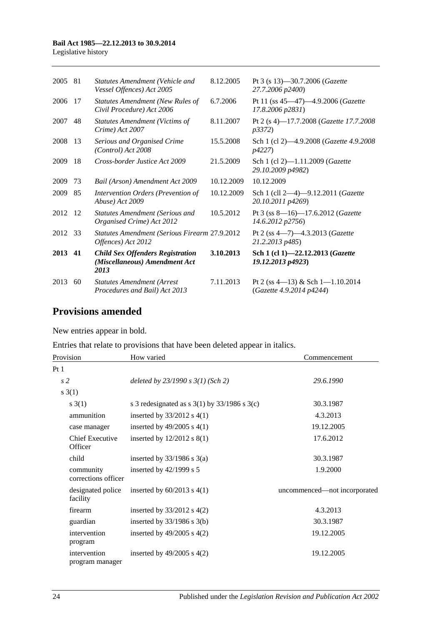### **Bail Act 1985—22.12.2013 to 30.9.2014**

Legislative history

| 2005 | 81 | <b>Statutes Amendment (Vehicle and</b><br>Vessel Offences) Act 2005              | 8.12.2005  | Pt 3 (s 13)-30.7.2006 (Gazette<br>27.7.2006 p2400)                |
|------|----|----------------------------------------------------------------------------------|------------|-------------------------------------------------------------------|
| 2006 | 17 | Statutes Amendment (New Rules of<br>Civil Procedure) Act 2006                    | 6.7.2006   | Pt 11 (ss 45-47)-4.9.2006 (Gazette<br>17.8.2006 p2831)            |
| 2007 | 48 | <b>Statutes Amendment (Victims of</b><br>Crime) Act 2007                         | 8.11.2007  | Pt 2 (s 4)-17.7.2008 (Gazette 17.7.2008)<br><i>p</i> 3372)        |
| 2008 | 13 | Serious and Organised Crime<br>(Control) Act 2008                                | 15.5.2008  | Sch 1 (cl 2)-4.9.2008 ( <i>Gazette 4.9.2008</i><br><i>p4227</i> ) |
| 2009 | 18 | Cross-border Justice Act 2009                                                    | 21.5.2009  | Sch 1 (cl 2)-1.11.2009 (Gazette<br>29.10.2009 p4982)              |
| 2009 | 73 | Bail (Arson) Amendment Act 2009                                                  | 10.12.2009 | 10.12.2009                                                        |
| 2009 | 85 | Intervention Orders (Prevention of<br>Abuse) Act 2009                            | 10.12.2009 | Sch 1 (cll 2-4)-9.12.2011 (Gazette<br>20.10.2011 p4269)           |
| 2012 | 12 | <b>Statutes Amendment (Serious and</b><br>Organised Crime) Act 2012              | 10.5.2012  | Pt 3 (ss 8-16)-17.6.2012 (Gazette<br>14.6.2012 p2756)             |
| 2012 | 33 | <b>Statutes Amendment (Serious Firearm 27.9.2012</b><br>Offences) Act 2012       |            | Pt 2 (ss 4-7)-4.3.2013 (Gazette<br>21.2.2013 p485)                |
| 2013 | 41 | <b>Child Sex Offenders Registration</b><br>(Miscellaneous) Amendment Act<br>2013 | 3.10.2013  | Sch 1 (cl 1)-22.12.2013 (Gazette<br>19.12.2013 p4923)             |
| 2013 | 60 | <b>Statutes Amendment (Arrest</b><br>Procedures and Bail) Act 2013               | 7.11.2013  | Pt 2 (ss 4-13) & Sch 1-1.10.2014<br>(Gazette 4.9.2014 p4244)      |

## **Provisions amended**

New entries appear in bold.

Entries that relate to provisions that have been deleted appear in italics.

| Provision                         | How varied                                         | Commencement                 |
|-----------------------------------|----------------------------------------------------|------------------------------|
| Pt1                               |                                                    |                              |
| s <sub>2</sub>                    | deleted by $23/1990 s 3(1)$ (Sch 2)                | 29.6.1990                    |
| s(1)                              |                                                    |                              |
| s(3(1))                           | s 3 redesignated as s $3(1)$ by $33/1986$ s $3(c)$ | 30.3.1987                    |
| ammunition                        | inserted by $33/2012$ s 4(1)                       | 4.3.2013                     |
| case manager                      | inserted by $49/2005$ s $4(1)$                     | 19.12.2005                   |
| <b>Chief Executive</b><br>Officer | inserted by $12/2012$ s $8(1)$                     | 17.6.2012                    |
| child                             | inserted by $33/1986$ s $3(a)$                     | 30.3.1987                    |
| community<br>corrections officer  | inserted by $42/1999$ s 5                          | 1.9.2000                     |
| designated police<br>facility     | inserted by $60/2013$ s $4(1)$                     | uncommenced—not incorporated |
| firearm                           | inserted by $33/2012$ s $4(2)$                     | 4.3.2013                     |
| guardian                          | inserted by $33/1986$ s $3(b)$                     | 30.3.1987                    |
| intervention<br>program           | inserted by $49/2005$ s $4(2)$                     | 19.12.2005                   |
| intervention<br>program manager   | inserted by $49/2005$ s $4(2)$                     | 19.12.2005                   |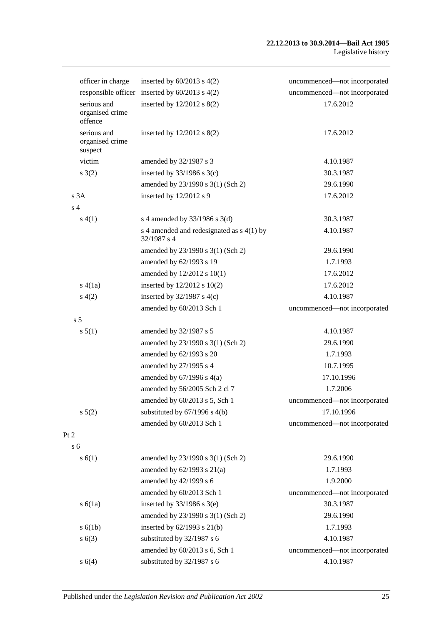|                | officer in charge                         | inserted by $60/2013$ s $4(2)$                           | uncommenced-not incorporated |
|----------------|-------------------------------------------|----------------------------------------------------------|------------------------------|
|                |                                           | responsible officer inserted by $60/2013$ s $4(2)$       | uncommenced-not incorporated |
|                | serious and<br>organised crime<br>offence | inserted by $12/2012$ s $8(2)$                           | 17.6.2012                    |
|                | serious and<br>organised crime<br>suspect | inserted by $12/2012$ s $8(2)$                           | 17.6.2012                    |
|                | victim                                    | amended by 32/1987 s 3                                   | 4.10.1987                    |
|                | s(2)                                      | inserted by $33/1986$ s $3(c)$                           | 30.3.1987                    |
|                |                                           | amended by 23/1990 s 3(1) (Sch 2)                        | 29.6.1990                    |
|                | s3A                                       | inserted by 12/2012 s 9                                  | 17.6.2012                    |
| s <sub>4</sub> |                                           |                                                          |                              |
|                | s(4(1))                                   | s 4 amended by $33/1986$ s 3(d)                          | 30.3.1987                    |
|                |                                           | s 4 amended and redesignated as s 4(1) by<br>32/1987 s 4 | 4.10.1987                    |
|                |                                           | amended by 23/1990 s 3(1) (Sch 2)                        | 29.6.1990                    |
|                |                                           | amended by 62/1993 s 19                                  | 1.7.1993                     |
|                |                                           | amended by 12/2012 s 10(1)                               | 17.6.2012                    |
|                | s(4(1a))                                  | inserted by $12/2012$ s $10(2)$                          | 17.6.2012                    |
|                | s(4(2)                                    | inserted by $32/1987$ s 4(c)                             | 4.10.1987                    |
|                |                                           | amended by 60/2013 Sch 1                                 | uncommenced-not incorporated |
| s <sub>5</sub> |                                           |                                                          |                              |
|                | s 5(1)                                    | amended by 32/1987 s 5                                   | 4.10.1987                    |
|                |                                           | amended by 23/1990 s 3(1) (Sch 2)                        | 29.6.1990                    |
|                |                                           | amended by 62/1993 s 20                                  | 1.7.1993                     |
|                |                                           | amended by 27/1995 s 4                                   | 10.7.1995                    |
|                |                                           | amended by $67/1996$ s $4(a)$                            | 17.10.1996                   |
|                |                                           | amended by 56/2005 Sch 2 cl 7                            | 1.7.2006                     |
|                |                                           | amended by 60/2013 s 5, Sch 1                            | uncommenced-not incorporated |
|                | s 5(2)                                    | substituted by $67/1996$ s $4(b)$                        | 17.10.1996                   |
|                |                                           | amended by 60/2013 Sch 1                                 | uncommenced-not incorporated |
| Pt 2           |                                           |                                                          |                              |
| s <sub>6</sub> |                                           |                                                          |                              |
|                | s(6(1))                                   | amended by 23/1990 s 3(1) (Sch 2)                        | 29.6.1990                    |
|                |                                           | amended by $62/1993$ s $21(a)$                           | 1.7.1993                     |
|                |                                           | amended by 42/1999 s 6                                   | 1.9.2000                     |
|                |                                           | amended by 60/2013 Sch 1                                 | uncommenced-not incorporated |
|                | s(6(1a))                                  | inserted by $33/1986$ s $3(e)$                           | 30.3.1987                    |
|                |                                           | amended by 23/1990 s 3(1) (Sch 2)                        | 29.6.1990                    |
|                | s(6(1b))                                  | inserted by $62/1993$ s $21(b)$                          | 1.7.1993                     |
|                | s(6(3))                                   | substituted by 32/1987 s 6                               | 4.10.1987                    |
|                |                                           | amended by 60/2013 s 6, Sch 1                            | uncommenced-not incorporated |
|                | s 6(4)                                    | substituted by 32/1987 s 6                               | 4.10.1987                    |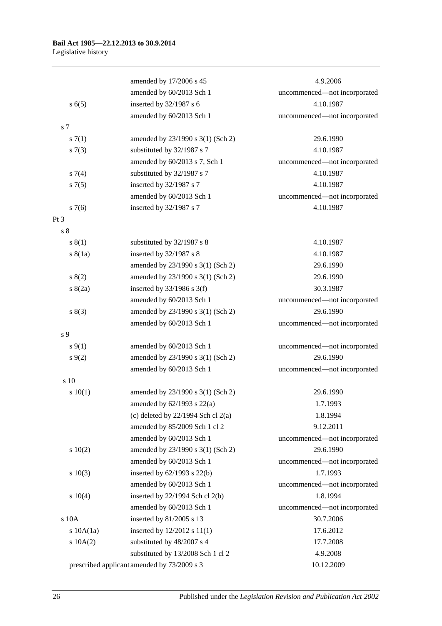|                 | amended by 17/2006 s 45                     | 4.9.2006                     |
|-----------------|---------------------------------------------|------------------------------|
|                 | amended by 60/2013 Sch 1                    | uncommenced-not incorporated |
| s(6(5)          | inserted by 32/1987 s 6                     | 4.10.1987                    |
|                 | amended by 60/2013 Sch 1                    | uncommenced-not incorporated |
| s 7             |                                             |                              |
| s(7(1))         | amended by 23/1990 s 3(1) (Sch 2)           | 29.6.1990                    |
| s(7(3))         | substituted by 32/1987 s 7                  | 4.10.1987                    |
|                 | amended by 60/2013 s 7, Sch 1               | uncommenced-not incorporated |
| $s \, 7(4)$     | substituted by 32/1987 s 7                  | 4.10.1987                    |
| $s \, 7(5)$     | inserted by 32/1987 s 7                     | 4.10.1987                    |
|                 | amended by 60/2013 Sch 1                    | uncommenced-not incorporated |
| $s \, 7(6)$     | inserted by 32/1987 s 7                     | 4.10.1987                    |
| Pt <sub>3</sub> |                                             |                              |
| s <sub>8</sub>  |                                             |                              |
| s(1)            | substituted by 32/1987 s 8                  | 4.10.1987                    |
| s(8(1a))        | inserted by 32/1987 s 8                     | 4.10.1987                    |
|                 | amended by 23/1990 s 3(1) (Sch 2)           | 29.6.1990                    |
| 8(2)            | amended by 23/1990 s 3(1) (Sch 2)           | 29.6.1990                    |
| s(2a)           | inserted by $33/1986$ s 3(f)                | 30.3.1987                    |
|                 | amended by 60/2013 Sch 1                    | uncommenced-not incorporated |
| s(3)            | amended by 23/1990 s 3(1) (Sch 2)           | 29.6.1990                    |
|                 | amended by 60/2013 Sch 1                    | uncommenced-not incorporated |
| s 9             |                                             |                              |
| $s \, 9(1)$     | amended by 60/2013 Sch 1                    | uncommenced-not incorporated |
| $s \, 9(2)$     | amended by 23/1990 s 3(1) (Sch 2)           | 29.6.1990                    |
|                 | amended by 60/2013 Sch 1                    | uncommenced-not incorporated |
| s 10            |                                             |                              |
| 10(1)           | amended by 23/1990 s 3(1) (Sch 2)           | 29.6.1990                    |
|                 | amended by $62/1993$ s $22(a)$              | 1.7.1993                     |
|                 | (c) deleted by $22/1994$ Sch cl $2(a)$      | 1.8.1994                     |
|                 | amended by 85/2009 Sch 1 cl 2               | 9.12.2011                    |
|                 | amended by 60/2013 Sch 1                    | uncommenced-not incorporated |
| 10(2)           | amended by 23/1990 s 3(1) (Sch 2)           | 29.6.1990                    |
|                 | amended by 60/2013 Sch 1                    | uncommenced-not incorporated |
| 10(3)           | inserted by $62/1993$ s $22(b)$             | 1.7.1993                     |
|                 | amended by 60/2013 Sch 1                    | uncommenced-not incorporated |
| 10(4)           | inserted by $22/1994$ Sch cl $2(b)$         | 1.8.1994                     |
|                 | amended by 60/2013 Sch 1                    | uncommenced-not incorporated |
| s 10A           | inserted by 81/2005 s 13                    | 30.7.2006                    |
| $s$ 10A $(1a)$  | inserted by 12/2012 s 11(1)                 | 17.6.2012                    |
| 10A(2)          | substituted by 48/2007 s 4                  | 17.7.2008                    |
|                 | substituted by 13/2008 Sch 1 cl 2           | 4.9.2008                     |
|                 | prescribed applicant amended by 73/2009 s 3 | 10.12.2009                   |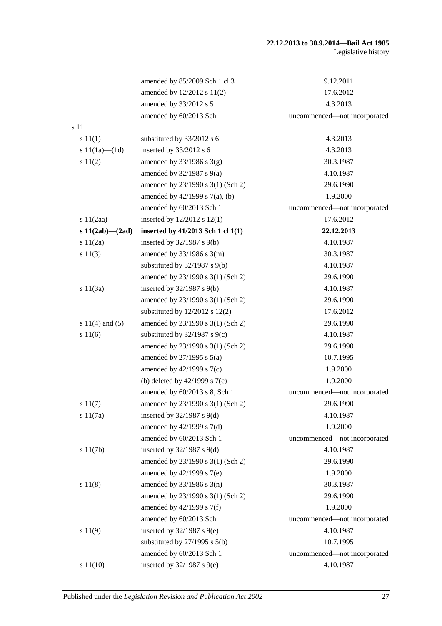### **22.12.2013 to 30.9.2014—Bail Act 1985** Legislative history

|                       | amended by 85/2009 Sch 1 cl 3      | 9.12.2011                    |
|-----------------------|------------------------------------|------------------------------|
|                       | amended by 12/2012 s 11(2)         | 17.6.2012                    |
|                       | amended by 33/2012 s 5             | 4.3.2013                     |
|                       | amended by 60/2013 Sch 1           | uncommenced-not incorporated |
| s 11                  |                                    |                              |
| s 11(1)               | substituted by 33/2012 s 6         | 4.3.2013                     |
| s $11(1a)$ — $(1d)$   | inserted by 33/2012 s 6            | 4.3.2013                     |
| s 11(2)               | amended by $33/1986$ s $3(g)$      | 30.3.1987                    |
|                       | amended by $32/1987$ s $9(a)$      | 4.10.1987                    |
|                       | amended by 23/1990 s 3(1) (Sch 2)  | 29.6.1990                    |
|                       | amended by 42/1999 s 7(a), (b)     | 1.9.2000                     |
|                       | amended by 60/2013 Sch 1           | uncommenced-not incorporated |
| s 11(2aa)             | inserted by 12/2012 s 12(1)        | 17.6.2012                    |
| s $11(2ab)$ — $(2ad)$ | inserted by 41/2013 Sch 1 cl 1(1)  | 22.12.2013                   |
| s 11(2a)              | inserted by $32/1987$ s $9(b)$     | 4.10.1987                    |
| s 11(3)               | amended by $33/1986$ s $3(m)$      | 30.3.1987                    |
|                       | substituted by $32/1987$ s $9(b)$  | 4.10.1987                    |
|                       | amended by 23/1990 s 3(1) (Sch 2)  | 29.6.1990                    |
| s $11(3a)$            | inserted by $32/1987$ s $9(b)$     | 4.10.1987                    |
|                       | amended by 23/1990 s 3(1) (Sch 2)  | 29.6.1990                    |
|                       | substituted by $12/2012$ s $12(2)$ | 17.6.2012                    |
| s $11(4)$ and $(5)$   | amended by 23/1990 s 3(1) (Sch 2)  | 29.6.1990                    |
| s 11(6)               | substituted by $32/1987$ s $9(c)$  | 4.10.1987                    |
|                       | amended by 23/1990 s 3(1) (Sch 2)  | 29.6.1990                    |
|                       | amended by $27/1995$ s $5(a)$      | 10.7.1995                    |
|                       | amended by $42/1999$ s $7(c)$      | 1.9.2000                     |
|                       | (b) deleted by $42/1999$ s $7(c)$  | 1.9.2000                     |
|                       | amended by 60/2013 s 8, Sch 1      | uncommenced-not incorporated |
| s 11(7)               | amended by 23/1990 s 3(1) (Sch 2)  | 29.6.1990                    |
| s11(7a)               | inserted by $32/1987$ s $9(d)$     | 4.10.1987                    |
|                       | amended by $42/1999$ s $7(d)$      | 1.9.2000                     |
|                       | amended by 60/2013 Sch 1           | uncommenced-not incorporated |
| s 11(7b)              | inserted by $32/1987$ s $9(d)$     | 4.10.1987                    |
|                       | amended by 23/1990 s 3(1) (Sch 2)  | 29.6.1990                    |
|                       | amended by 42/1999 s 7(e)          | 1.9.2000                     |
| s 11(8)               | amended by $33/1986$ s $3(n)$      | 30.3.1987                    |
|                       | amended by 23/1990 s 3(1) (Sch 2)  | 29.6.1990                    |
|                       | amended by $42/1999$ s $7(f)$      | 1.9.2000                     |
|                       | amended by 60/2013 Sch 1           | uncommenced-not incorporated |
| s 11(9)               | inserted by $32/1987$ s $9(e)$     | 4.10.1987                    |
|                       | substituted by $27/1995$ s $5(b)$  | 10.7.1995                    |
|                       | amended by 60/2013 Sch 1           | uncommenced-not incorporated |
| s 11(10)              | inserted by $32/1987$ s $9(e)$     | 4.10.1987                    |
|                       |                                    |                              |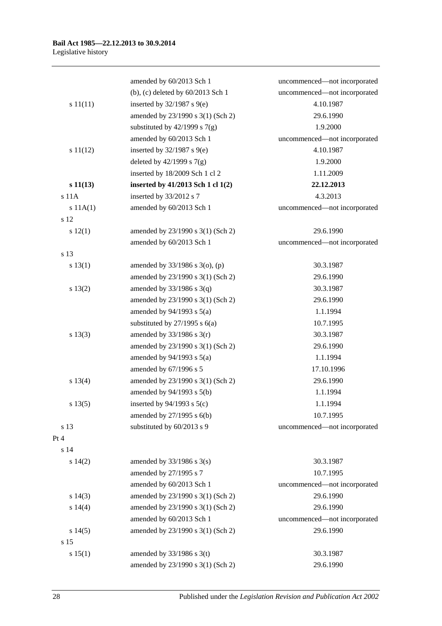|          | amended by 60/2013 Sch 1          | uncommenced-not incorporated |
|----------|-----------------------------------|------------------------------|
|          | (b), (c) deleted by 60/2013 Sch 1 | uncommenced-not incorporated |
| s 11(11) | inserted by $32/1987$ s $9(e)$    | 4.10.1987                    |
|          | amended by 23/1990 s 3(1) (Sch 2) | 29.6.1990                    |
|          | substituted by $42/1999$ s $7(g)$ | 1.9.2000                     |
|          | amended by 60/2013 Sch 1          | uncommenced-not incorporated |
| s 11(12) | inserted by $32/1987$ s $9(e)$    | 4.10.1987                    |
|          | deleted by $42/1999$ s $7(g)$     | 1.9.2000                     |
|          | inserted by 18/2009 Sch 1 cl 2    | 1.11.2009                    |
| s 11(13) | inserted by 41/2013 Sch 1 cl 1(2) | 22.12.2013                   |
| s 11A    | inserted by 33/2012 s 7           | 4.3.2013                     |
| s 11A(1) | amended by 60/2013 Sch 1          | uncommenced-not incorporated |
| s 12     |                                   |                              |
| 12(1)    | amended by 23/1990 s 3(1) (Sch 2) | 29.6.1990                    |
|          | amended by 60/2013 Sch 1          | uncommenced-not incorporated |
| s 13     |                                   |                              |
| s 13(1)  | amended by 33/1986 s 3(o), (p)    | 30.3.1987                    |
|          | amended by 23/1990 s 3(1) (Sch 2) | 29.6.1990                    |
| s 13(2)  | amended by $33/1986$ s $3(q)$     | 30.3.1987                    |
|          | amended by 23/1990 s 3(1) (Sch 2) | 29.6.1990                    |
|          | amended by $94/1993$ s $5(a)$     | 1.1.1994                     |
|          | substituted by $27/1995$ s $6(a)$ | 10.7.1995                    |
| s 13(3)  | amended by $33/1986$ s $3(r)$     | 30.3.1987                    |
|          | amended by 23/1990 s 3(1) (Sch 2) | 29.6.1990                    |
|          | amended by $94/1993$ s $5(a)$     | 1.1.1994                     |
|          | amended by 67/1996 s 5            | 17.10.1996                   |
| s 13(4)  | amended by 23/1990 s 3(1) (Sch 2) | 29.6.1990                    |
|          | amended by 94/1993 s 5(b)         | 1.1.1994                     |
| s 13(5)  | inserted by $94/1993$ s $5(c)$    | 1.1.1994                     |
|          | amended by 27/1995 s 6(b)         | 10.7.1995                    |
| s 13     | substituted by 60/2013 s 9        | uncommenced-not incorporated |
| Pt 4     |                                   |                              |
| s 14     |                                   |                              |
| s 14(2)  | amended by $33/1986$ s $3(s)$     | 30.3.1987                    |
|          | amended by 27/1995 s 7            | 10.7.1995                    |
|          | amended by 60/2013 Sch 1          | uncommenced-not incorporated |
| s 14(3)  | amended by 23/1990 s 3(1) (Sch 2) | 29.6.1990                    |
| s 14(4)  | amended by 23/1990 s 3(1) (Sch 2) | 29.6.1990                    |
|          | amended by 60/2013 Sch 1          | uncommenced-not incorporated |
| s 14(5)  | amended by 23/1990 s 3(1) (Sch 2) | 29.6.1990                    |
| s 15     |                                   |                              |
| s 15(1)  | amended by $33/1986$ s 3(t)       | 30.3.1987                    |
|          | amended by 23/1990 s 3(1) (Sch 2) | 29.6.1990                    |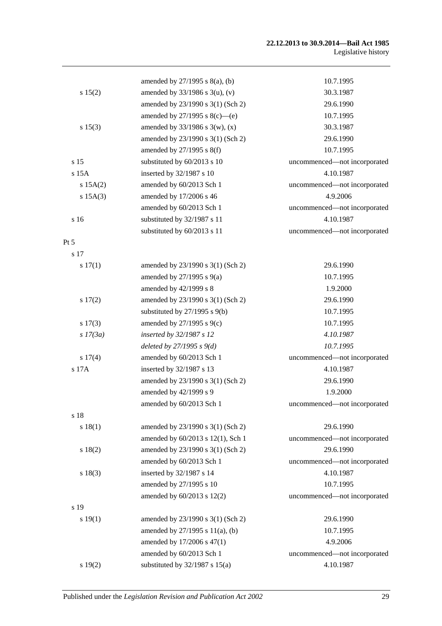### **22.12.2013 to 30.9.2014—Bail Act 1985** Legislative history

|            | amended by $27/1995$ s $8(a)$ , (b) | 10.7.1995                    |
|------------|-------------------------------------|------------------------------|
| s 15(2)    | amended by $33/1986$ s $3(u)$ , (v) | 30.3.1987                    |
|            | amended by 23/1990 s 3(1) (Sch 2)   | 29.6.1990                    |
|            | amended by $27/1995$ s $8(c)$ —(e)  | 10.7.1995                    |
| s 15(3)    | amended by $33/1986$ s 3(w), (x)    | 30.3.1987                    |
|            | amended by 23/1990 s 3(1) (Sch 2)   | 29.6.1990                    |
|            | amended by 27/1995 s 8(f)           | 10.7.1995                    |
| s 15       | substituted by 60/2013 s 10         | uncommenced-not incorporated |
| $s$ 15 $A$ | inserted by 32/1987 s 10            | 4.10.1987                    |
| s 15A(2)   | amended by 60/2013 Sch 1            | uncommenced-not incorporated |
| s 15A(3)   | amended by 17/2006 s 46             | 4.9.2006                     |
|            | amended by 60/2013 Sch 1            | uncommenced-not incorporated |
| s 16       | substituted by 32/1987 s 11         | 4.10.1987                    |
|            | substituted by 60/2013 s 11         | uncommenced-not incorporated |
| $Pt\,5$    |                                     |                              |
| s 17       |                                     |                              |
| s 17(1)    | amended by 23/1990 s 3(1) (Sch 2)   | 29.6.1990                    |
|            | amended by $27/1995$ s $9(a)$       | 10.7.1995                    |
|            | amended by 42/1999 s 8              | 1.9.2000                     |
| 17(2)      | amended by 23/1990 s 3(1) (Sch 2)   | 29.6.1990                    |
|            | substituted by $27/1995$ s $9(b)$   | 10.7.1995                    |
| s 17(3)    | amended by 27/1995 s 9(c)           | 10.7.1995                    |
| $s$ 17(3a) | inserted by 32/1987 s 12            | 4.10.1987                    |
|            | deleted by $27/1995 s 9(d)$         | 10.7.1995                    |
| s 17(4)    | amended by 60/2013 Sch 1            | uncommenced-not incorporated |
| s 17A      | inserted by 32/1987 s 13            | 4.10.1987                    |
|            | amended by 23/1990 s 3(1) (Sch 2)   | 29.6.1990                    |
|            | amended by 42/1999 s 9              | 1.9.2000                     |
|            | amended by 60/2013 Sch 1            | uncommenced—not incorporated |
| s 18       |                                     |                              |
| s 18(1)    | amended by 23/1990 s 3(1) (Sch 2)   | 29.6.1990                    |
|            | amended by 60/2013 s 12(1), Sch 1   | uncommenced-not incorporated |
| s 18(2)    | amended by 23/1990 s 3(1) (Sch 2)   | 29.6.1990                    |
|            | amended by 60/2013 Sch 1            | uncommenced-not incorporated |
| s 18(3)    | inserted by 32/1987 s 14            | 4.10.1987                    |
|            | amended by 27/1995 s 10             | 10.7.1995                    |
|            | amended by 60/2013 s 12(2)          | uncommenced-not incorporated |
| s 19       |                                     |                              |
| s 19(1)    | amended by 23/1990 s 3(1) (Sch 2)   | 29.6.1990                    |
|            | amended by 27/1995 s 11(a), (b)     | 10.7.1995                    |
|            | amended by 17/2006 s 47(1)          | 4.9.2006                     |
|            | amended by 60/2013 Sch 1            | uncommenced-not incorporated |
| s 19(2)    | substituted by $32/1987$ s $15(a)$  | 4.10.1987                    |
|            |                                     |                              |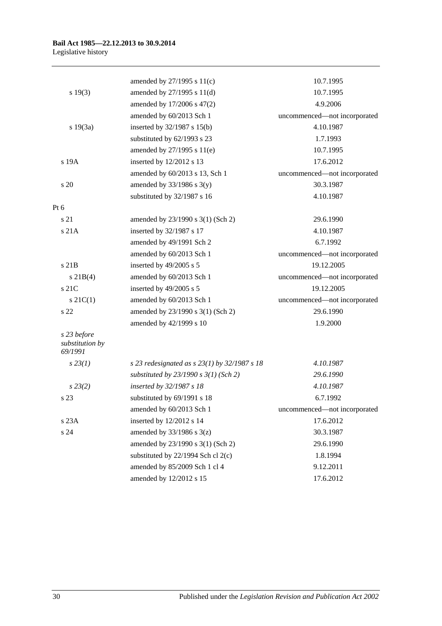|                                           | amended by 27/1995 s 11(c)                       | 10.7.1995                    |
|-------------------------------------------|--------------------------------------------------|------------------------------|
| s 19(3)                                   | amended by 27/1995 s 11(d)                       | 10.7.1995                    |
|                                           | amended by 17/2006 s 47(2)                       | 4.9.2006                     |
|                                           | amended by 60/2013 Sch 1                         | uncommenced-not incorporated |
| s 19(3a)                                  | inserted by 32/1987 s 15(b)                      | 4.10.1987                    |
|                                           | substituted by 62/1993 s 23                      | 1.7.1993                     |
|                                           | amended by 27/1995 s 11(e)                       | 10.7.1995                    |
| s 19A                                     | inserted by 12/2012 s 13                         | 17.6.2012                    |
|                                           | amended by 60/2013 s 13, Sch 1                   | uncommenced-not incorporated |
| s 20                                      | amended by $33/1986$ s $3(y)$                    | 30.3.1987                    |
|                                           | substituted by 32/1987 s 16                      | 4.10.1987                    |
| Pt $6$                                    |                                                  |                              |
| s 21                                      | amended by 23/1990 s 3(1) (Sch 2)                | 29.6.1990                    |
| s 21A                                     | inserted by 32/1987 s 17                         | 4.10.1987                    |
|                                           | amended by 49/1991 Sch 2                         | 6.7.1992                     |
|                                           | amended by 60/2013 Sch 1                         | uncommenced-not incorporated |
| s 21B                                     | inserted by 49/2005 s 5                          | 19.12.2005                   |
| $s \, 21B(4)$                             | amended by 60/2013 Sch 1                         | uncommenced-not incorporated |
| s <sub>21C</sub>                          | inserted by 49/2005 s 5                          | 19.12.2005                   |
| $s \, 21C(1)$                             | amended by 60/2013 Sch 1                         | uncommenced-not incorporated |
| s <sub>22</sub>                           | amended by 23/1990 s 3(1) (Sch 2)                | 29.6.1990                    |
|                                           | amended by 42/1999 s 10                          | 1.9.2000                     |
| s 23 before<br>substitution by<br>69/1991 |                                                  |                              |
| $s\,23(1)$                                | s 23 redesignated as s $23(1)$ by $32/1987$ s 18 | 4.10.1987                    |
|                                           | substituted by $23/1990 s 3(1)$ (Sch 2)          | 29.6.1990                    |
| $s\,23(2)$                                | inserted by 32/1987 s 18                         | 4.10.1987                    |
| s 23                                      | substituted by 69/1991 s 18                      | 6.7.1992                     |
|                                           | amended by 60/2013 Sch 1                         | uncommenced-not incorporated |
| s 23A                                     | inserted by 12/2012 s 14                         | 17.6.2012                    |
| s 24                                      | amended by $33/1986$ s $3(z)$                    | 30.3.1987                    |
|                                           | amended by 23/1990 s 3(1) (Sch 2)                | 29.6.1990                    |
|                                           | substituted by $22/1994$ Sch cl $2(c)$           | 1.8.1994                     |
|                                           | amended by 85/2009 Sch 1 cl 4                    | 9.12.2011                    |
|                                           | amended by 12/2012 s 15                          | 17.6.2012                    |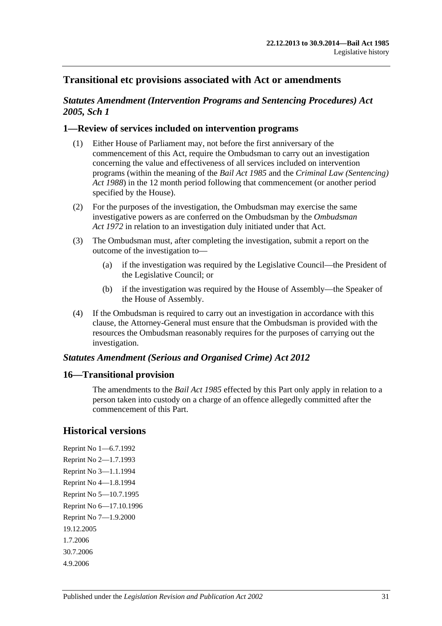## **Transitional etc provisions associated with Act or amendments**

## *Statutes Amendment (Intervention Programs and Sentencing Procedures) Act 2005, Sch 1*

## **1—Review of services included on intervention programs**

- (1) Either House of Parliament may, not before the first anniversary of the commencement of this Act, require the Ombudsman to carry out an investigation concerning the value and effectiveness of all services included on intervention programs (within the meaning of the *[Bail Act](http://www.legislation.sa.gov.au/index.aspx?action=legref&type=act&legtitle=Bail%20Act%201985) 1985* and the *[Criminal Law \(Sentencing\)](http://www.legislation.sa.gov.au/index.aspx?action=legref&type=act&legtitle=Criminal%20Law%20(Sentencing)%20Act%201988)  Act [1988](http://www.legislation.sa.gov.au/index.aspx?action=legref&type=act&legtitle=Criminal%20Law%20(Sentencing)%20Act%201988)*) in the 12 month period following that commencement (or another period specified by the House).
- (2) For the purposes of the investigation, the Ombudsman may exercise the same investigative powers as are conferred on the Ombudsman by the *[Ombudsman](http://www.legislation.sa.gov.au/index.aspx?action=legref&type=act&legtitle=Ombudsman%20Act%201972)  Act [1972](http://www.legislation.sa.gov.au/index.aspx?action=legref&type=act&legtitle=Ombudsman%20Act%201972)* in relation to an investigation duly initiated under that Act.
- (3) The Ombudsman must, after completing the investigation, submit a report on the outcome of the investigation to—
	- (a) if the investigation was required by the Legislative Council—the President of the Legislative Council; or
	- (b) if the investigation was required by the House of Assembly—the Speaker of the House of Assembly.
- (4) If the Ombudsman is required to carry out an investigation in accordance with this clause, the Attorney-General must ensure that the Ombudsman is provided with the resources the Ombudsman reasonably requires for the purposes of carrying out the investigation.

### *Statutes Amendment (Serious and Organised Crime) Act 2012*

### **16—Transitional provision**

The amendments to the *[Bail Act](http://www.legislation.sa.gov.au/index.aspx?action=legref&type=act&legtitle=Bail%20Act%201985) 1985* effected by this Part only apply in relation to a person taken into custody on a charge of an offence allegedly committed after the commencement of this Part.

## **Historical versions**

Reprint No 1—6.7.1992 Reprint No 2—1.7.1993 Reprint No 3—1.1.1994 Reprint No 4—1.8.1994 Reprint No 5—10.7.1995 Reprint No 6—17.10.1996 Reprint No 7—1.9.2000 19.12.2005 1.7.2006 30.7.2006 4.9.2006